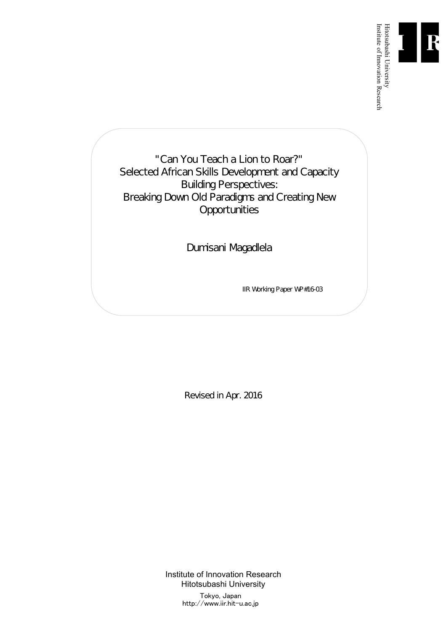

"Can You Teach a Lion to Roar?" Selected African Skills Development and Capacity Building Perspectives: Breaking Down Old Paradigms and Creating New **Opportunities** 

Dumisani Magadlela

IIR Working Paper WP#16-03

Revised in Apr. 2016

Institute of Innovation Research Hitotsubashi University Tokyo, Japan http://www.iir.hit-u.ac.jp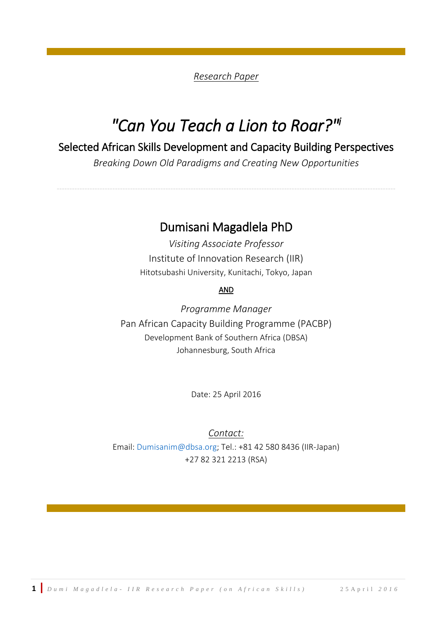#### *Research Paper*

# *"Can You Teach a Lion to Roar?" i*

# Selected African Skills Development and Capacity Building Perspectives

*Breaking Down Old Paradigms and Creating New Opportunities*

--------------------------------------------------------------------------------------------------------------------------------------

# Dumisani Magadlela PhD

*Visiting Associate Professor*  Institute of Innovation Research (IIR) Hitotsubashi University, Kunitachi, Tokyo, Japan

#### AND

*Programme Manager* Pan African Capacity Building Programme (PACBP) Development Bank of Southern Africa (DBSA) Johannesburg, South Africa

Date: 25 April 2016

*Contact:*  Email: [Dumisanim@dbsa.org;](mailto:Dumisanim@dbsa.org) Tel.: +81 42 580 8436 (IIR-Japan) +27 82 321 2213 (RSA)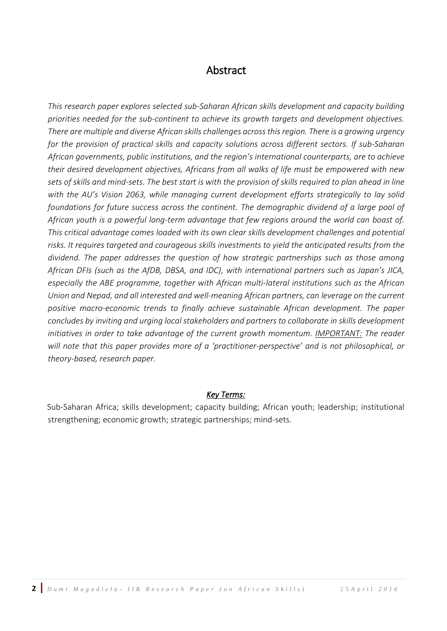### Abstract

<span id="page-3-0"></span>*This research paper explores selected sub-Saharan African skills development and capacity building priorities needed for the sub-continent to achieve its growth targets and development objectives. There are multiple and diverse African skills challenges across thisregion. There is a growing urgency for the provision of practical skills and capacity solutions across different sectors. If sub-Saharan African governments, public institutions, and the region's international counterparts, are to achieve their desired development objectives, Africans from all walks of life must be empowered with new sets of skills and mind-sets. The best start is with the provision of skills required to plan ahead in line with the AU's Vision 2063, while managing current development efforts strategically to lay solid foundations for future success across the continent. The demographic dividend of a large pool of African youth is a powerful long-term advantage that few regions around the world can boast of. This critical advantage comes loaded with its own clear skills development challenges and potential risks. It requires targeted and courageous skills investments to yield the anticipated results from the dividend. The paper addresses the question of how strategic partnerships such as those among African DFIs (such as the AfDB, DBSA, and IDC), with international partners such as Japan's JICA, especially the ABE programme, together with African multi-lateral institutions such as the African Union and Nepad, and all interested and well-meaning African partners, can leverage on the current positive macro-economic trends to finally achieve sustainable African development. The paper concludes by inviting and urging local stakeholders and partners to collaborate in skills development initiatives in order to take advantage of the current growth momentum. IMPORTANT: The reader will note that this paper provides more of a 'practitioner-perspective' and is not philosophical, or theory-based, research paper.* 

#### *Key Terms:*

Sub-Saharan Africa; skills development; capacity building; African youth; leadership; institutional strengthening; economic growth; strategic partnerships; mind-sets.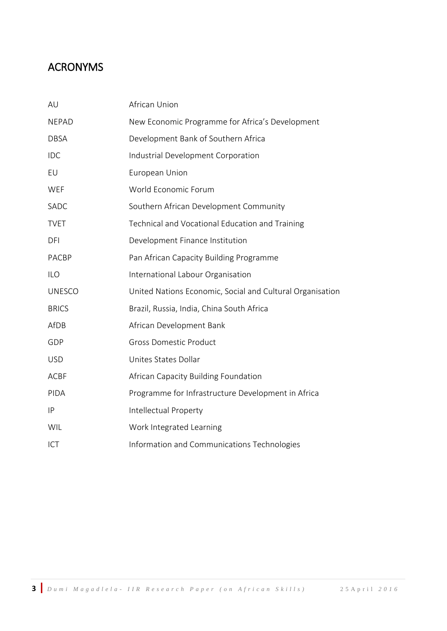# ACRONYMS

| AU            | African Union                                             |
|---------------|-----------------------------------------------------------|
| <b>NEPAD</b>  | New Economic Programme for Africa's Development           |
| <b>DBSA</b>   | Development Bank of Southern Africa                       |
| <b>IDC</b>    | Industrial Development Corporation                        |
| EU            | European Union                                            |
| WEF           | World Economic Forum                                      |
| SADC          | Southern African Development Community                    |
| <b>TVET</b>   | Technical and Vocational Education and Training           |
| DFI           | Development Finance Institution                           |
| <b>PACBP</b>  | Pan African Capacity Building Programme                   |
| <b>ILO</b>    | International Labour Organisation                         |
| <b>UNESCO</b> | United Nations Economic, Social and Cultural Organisation |
| <b>BRICS</b>  | Brazil, Russia, India, China South Africa                 |
| AfDB          | African Development Bank                                  |
| GDP           | <b>Gross Domestic Product</b>                             |
| <b>USD</b>    | Unites States Dollar                                      |
| <b>ACBF</b>   | African Capacity Building Foundation                      |
| PIDA          | Programme for Infrastructure Development in Africa        |
| IP            | Intellectual Property                                     |
| WIL           | Work Integrated Learning                                  |
| ICT           | Information and Communications Technologies               |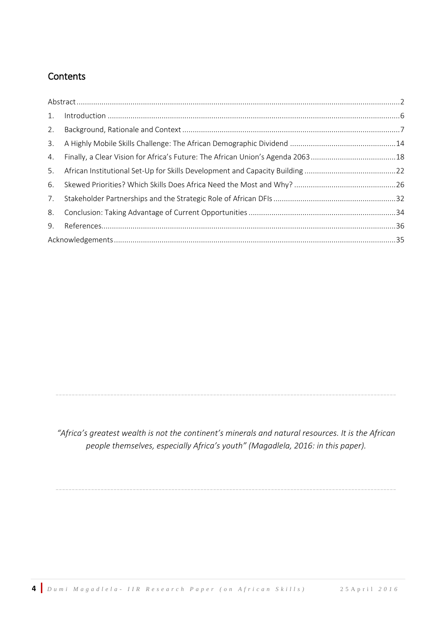### **Contents**

| 1. |  |
|----|--|
| 2. |  |
| 3. |  |
| 4. |  |
| 5. |  |
| 6. |  |
| 7. |  |
| 8. |  |
| 9. |  |
|    |  |

*"Africa's greatest wealth is not the continent's minerals and natural resources. It is the African people themselves, especially Africa's youth" (Magadlela, 2016: in this paper).*

----------------------------------------------------------------------------------------------------------

----------------------------------------------------------------------------------------------------------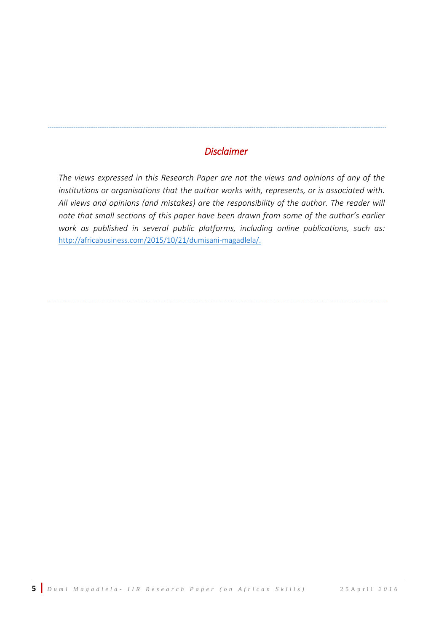### *Disclaimer*

----------------------------------------------------------------------------------------------------------------------------------------------------------------------------------------

*The views expressed in this Research Paper are not the views and opinions of any of the institutions or organisations that the author works with, represents, or is associated with. All views and opinions (and mistakes) are the responsibility of the author. The reader will note that small sections of this paper have been drawn from some of the author's earlier work as published in several public platforms, including online publications, such as:*  [http://africabusiness.com/2015/10/21/dumisani-magadlela/.](http://africabusiness.com/2015/10/21/dumisani-magadlela/)

----------------------------------------------------------------------------------------------------------------------------------------------------------------------------------------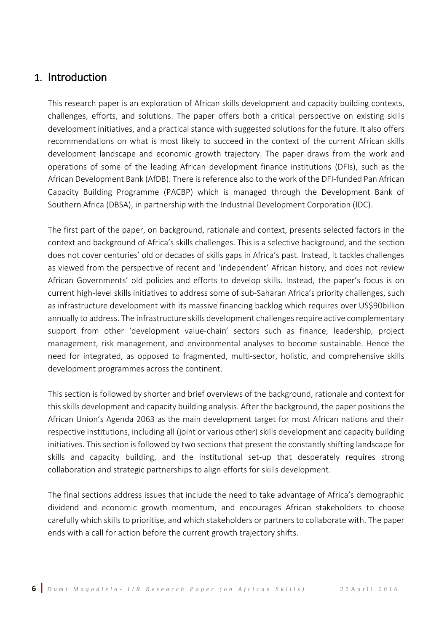### <span id="page-7-0"></span>1. Introduction

This research paper is an exploration of African skills development and capacity building contexts, challenges, efforts, and solutions. The paper offers both a critical perspective on existing skills development initiatives, and a practical stance with suggested solutions for the future. It also offers recommendations on what is most likely to succeed in the context of the current African skills development landscape and economic growth trajectory. The paper draws from the work and operations of some of the leading African development finance institutions (DFIs), such as the African Development Bank (AfDB). There is reference also to the work of the DFI-funded Pan African Capacity Building Programme (PACBP) which is managed through the Development Bank of Southern Africa (DBSA), in partnership with the Industrial Development Corporation (IDC).

The first part of the paper, on background, rationale and context, presents selected factors in the context and background of Africa's skills challenges. This is a selective background, and the section does not cover centuries' old or decades of skills gaps in Africa's past. Instead, it tackles challenges as viewed from the perspective of recent and 'independent' African history, and does not review African Governments' old policies and efforts to develop skills. Instead, the paper's focus is on current high-level skills initiatives to address some of sub-Saharan Africa's priority challenges, such as infrastructure development with its massive financing backlog which requires over US\$90billion annually to address. The infrastructure skills development challenges require active complementary support from other 'development value-chain' sectors such as finance, leadership, project management, risk management, and environmental analyses to become sustainable. Hence the need for integrated, as opposed to fragmented, multi-sector, holistic, and comprehensive skills development programmes across the continent.

This section is followed by shorter and brief overviews of the background, rationale and context for this skills development and capacity building analysis. After the background, the paper positions the African Union's Agenda 2063 as the main development target for most African nations and their respective institutions, including all (joint or various other) skills development and capacity building initiatives. This section is followed by two sections that present the constantly shifting landscape for skills and capacity building, and the institutional set-up that desperately requires strong collaboration and strategic partnerships to align efforts for skills development.

The final sections address issues that include the need to take advantage of Africa's demographic dividend and economic growth momentum, and encourages African stakeholders to choose carefully which skills to prioritise, and which stakeholders or partners to collaborate with. The paper ends with a call for action before the current growth trajectory shifts.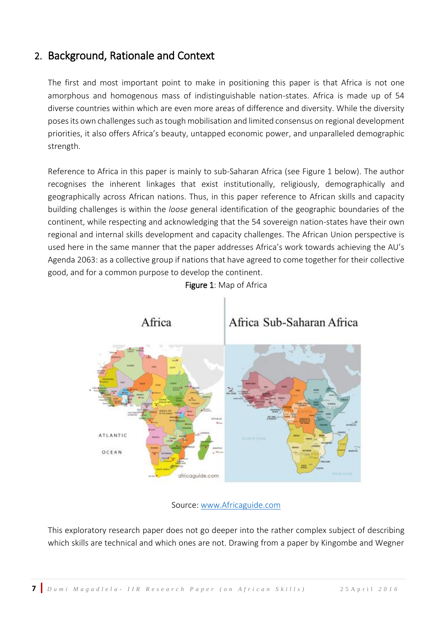# <span id="page-8-0"></span>2. Background, Rationale and Context

The first and most important point to make in positioning this paper is that Africa is not one amorphous and homogenous mass of indistinguishable nation-states. Africa is made up of 54 diverse countries within which are even more areas of difference and diversity. While the diversity poses its own challenges such as tough mobilisation and limited consensus on regional development priorities, it also offers Africa's beauty, untapped economic power, and unparalleled demographic strength.

Reference to Africa in this paper is mainly to sub-Saharan Africa (see Figure 1 below). The author recognises the inherent linkages that exist institutionally, religiously, demographically and geographically across African nations. Thus, in this paper reference to African skills and capacity building challenges is within the *loose* general identification of the geographic boundaries of the continent, while respecting and acknowledging that the 54 sovereign nation-states have their own regional and internal skills development and capacity challenges. The African Union perspective is used here in the same manner that the paper addresses Africa's work towards achieving the AU's Agenda 2063: as a collective group if nations that have agreed to come together for their collective good, and for a common purpose to develop the continent.



#### Figure 1: Map of Africa

Source: [www.Africaguide.com](http://www.africaguide.com/)

This exploratory research paper does not go deeper into the rather complex subject of describing which skills are technical and which ones are not. Drawing from a paper by Kingombe and Wegner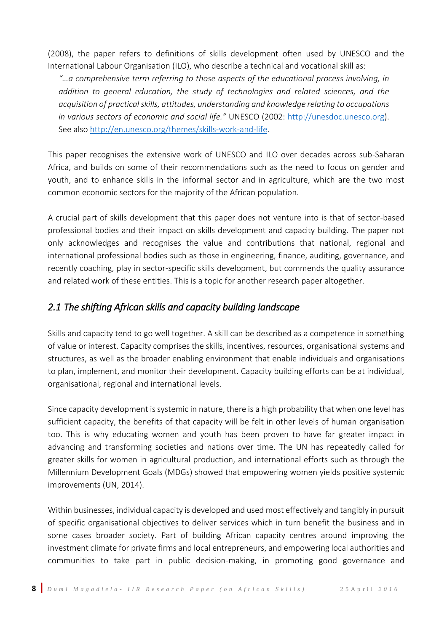(2008), the paper refers to definitions of skills development often used by UNESCO and the International Labour Organisation (ILO), who describe a technical and vocational skill as:

*"…a comprehensive term referring to those aspects of the educational process involving, in addition to general education, the study of technologies and related sciences, and the acquisition of practical skills, attitudes, understanding and knowledge relating to occupations in various sectors of economic and social life."* UNESCO (2002: [http://unesdoc.unesco.org\)](http://unesdoc.unesco.org/). See also [http://en.unesco.org/themes/skills-work-and-life.](http://en.unesco.org/themes/skills-work-and-life)

This paper recognises the extensive work of UNESCO and ILO over decades across sub-Saharan Africa, and builds on some of their recommendations such as the need to focus on gender and youth, and to enhance skills in the informal sector and in agriculture, which are the two most common economic sectors for the majority of the African population.

A crucial part of skills development that this paper does not venture into is that of sector-based professional bodies and their impact on skills development and capacity building. The paper not only acknowledges and recognises the value and contributions that national, regional and international professional bodies such as those in engineering, finance, auditing, governance, and recently coaching, play in sector-specific skills development, but commends the quality assurance and related work of these entities. This is a topic for another research paper altogether.

### *2.1 The shifting African skills and capacity building landscape*

Skills and capacity tend to go well together. A skill can be described as a competence in something of value or interest. Capacity comprises the skills, incentives, resources, organisational systems and structures, as well as the broader enabling environment that enable individuals and organisations to plan, implement, and monitor their development. Capacity building efforts can be at individual, organisational, regional and international levels.

Since capacity development is systemic in nature, there is a high probability that when one level has sufficient capacity, the benefits of that capacity will be felt in other levels of human organisation too. This is why educating women and youth has been proven to have far greater impact in advancing and transforming societies and nations over time. The UN has repeatedly called for greater skills for women in agricultural production, and international efforts such as through the Millennium Development Goals (MDGs) showed that empowering women yields positive systemic improvements (UN, 2014).

Within businesses, individual capacity is developed and used most effectively and tangibly in pursuit of specific organisational objectives to deliver services which in turn benefit the business and in some cases broader society. Part of building African capacity centres around improving the investment climate for private firms and local entrepreneurs, and empowering local authorities and communities to take part in public decision-making, in promoting good governance and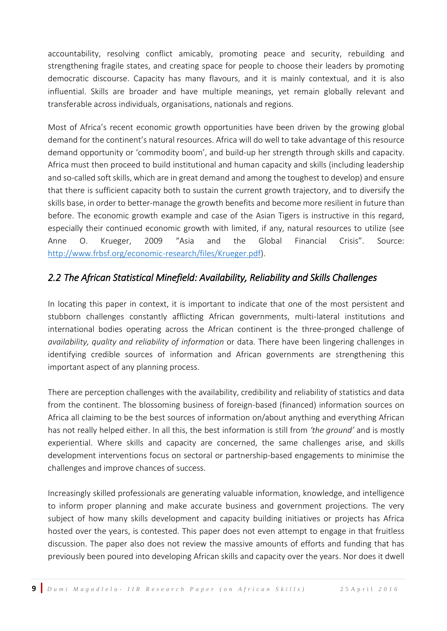accountability, resolving conflict amicably, promoting peace and security, rebuilding and strengthening fragile states, and creating space for people to choose their leaders by promoting democratic discourse. Capacity has many flavours, and it is mainly contextual, and it is also influential. Skills are broader and have multiple meanings, yet remain globally relevant and transferable across individuals, organisations, nationals and regions.

Most of Africa's recent economic growth opportunities have been driven by the growing global demand for the continent's natural resources. Africa will do well to take advantage of this resource demand opportunity or 'commodity boom', and build-up her strength through skills and capacity. Africa must then proceed to build institutional and human capacity and skills (including leadership and so-called soft skills, which are in great demand and among the toughest to develop) and ensure that there is sufficient capacity both to sustain the current growth trajectory, and to diversify the skills base, in order to better-manage the growth benefits and become more resilient in future than before. The economic growth example and case of the Asian Tigers is instructive in this regard, especially their continued economic growth with limited, if any, natural resources to utilize (see Anne O. Krueger, 2009 "Asia and the Global Financial Crisis". Source: [http://www.frbsf.org/economic-research/files/Krueger.pdf\)](http://www.frbsf.org/economic-research/files/Krueger.pdf).

### *2.2 The African Statistical Minefield: Availability, Reliability and Skills Challenges*

In locating this paper in context, it is important to indicate that one of the most persistent and stubborn challenges constantly afflicting African governments, multi-lateral institutions and international bodies operating across the African continent is the three-pronged challenge of *availability, quality and reliability of information* or data. There have been lingering challenges in identifying credible sources of information and African governments are strengthening this important aspect of any planning process.

There are perception challenges with the availability, credibility and reliability of statistics and data from the continent. The blossoming business of foreign-based (financed) information sources on Africa all claiming to be the best sources of information on/about anything and everything African has not really helped either. In all this, the best information is still from *'the ground'* and is mostly experiential. Where skills and capacity are concerned, the same challenges arise, and skills development interventions focus on sectoral or partnership-based engagements to minimise the challenges and improve chances of success.

Increasingly skilled professionals are generating valuable information, knowledge, and intelligence to inform proper planning and make accurate business and government projections. The very subject of how many skills development and capacity building initiatives or projects has Africa hosted over the years, is contested. This paper does not even attempt to engage in that fruitless discussion. The paper also does not review the massive amounts of efforts and funding that has previously been poured into developing African skills and capacity over the years. Nor does it dwell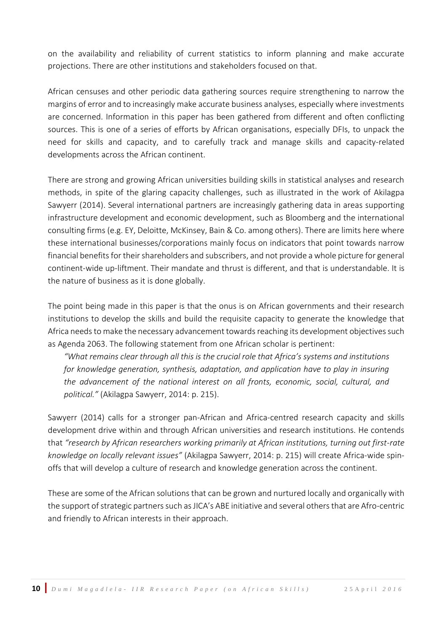on the availability and reliability of current statistics to inform planning and make accurate projections. There are other institutions and stakeholders focused on that.

African censuses and other periodic data gathering sources require strengthening to narrow the margins of error and to increasingly make accurate business analyses, especially where investments are concerned. Information in this paper has been gathered from different and often conflicting sources. This is one of a series of efforts by African organisations, especially DFIs, to unpack the need for skills and capacity, and to carefully track and manage skills and capacity-related developments across the African continent.

There are strong and growing African universities building skills in statistical analyses and research methods, in spite of the glaring capacity challenges, such as illustrated in the work of Akilagpa Sawyerr (2014). Several international partners are increasingly gathering data in areas supporting infrastructure development and economic development, such as Bloomberg and the international consulting firms (e.g. EY, Deloitte, McKinsey, Bain & Co. among others). There are limits here where these international businesses/corporations mainly focus on indicators that point towards narrow financial benefits for their shareholders and subscribers, and not provide a whole picture for general continent-wide up-liftment. Their mandate and thrust is different, and that is understandable. It is the nature of business as it is done globally.

The point being made in this paper is that the onus is on African governments and their research institutions to develop the skills and build the requisite capacity to generate the knowledge that Africa needs to make the necessary advancement towards reaching its development objectives such as Agenda 2063. The following statement from one African scholar is pertinent:

*"What remains clear through all this is the crucial role that Africa's systems and institutions for knowledge generation, synthesis, adaptation, and application have to play in insuring the advancement of the national interest on all fronts, economic, social, cultural, and political."* (Akilagpa Sawyerr, 2014: p. 215).

Sawyerr (2014) calls for a stronger pan-African and Africa-centred research capacity and skills development drive within and through African universities and research institutions. He contends that *"research by African researchers working primarily at African institutions, turning out first-rate knowledge on locally relevant issues"* (Akilagpa Sawyerr, 2014: p. 215) will create Africa-wide spinoffs that will develop a culture of research and knowledge generation across the continent.

These are some of the African solutions that can be grown and nurtured locally and organically with the support of strategic partners such as JICA's ABE initiative and several others that are Afro-centric and friendly to African interests in their approach.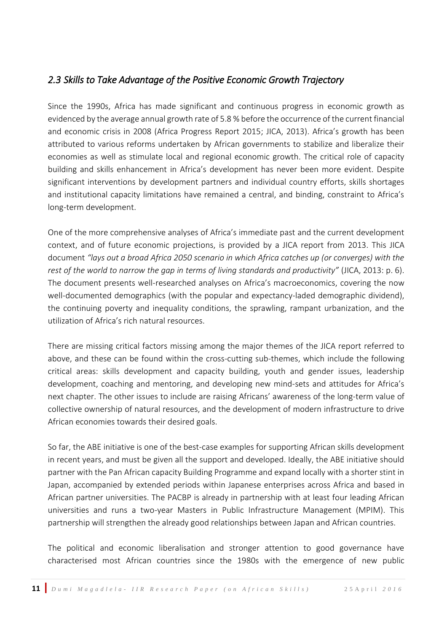### *2.3 Skills to Take Advantage of the Positive Economic Growth Trajectory*

Since the 1990s, Africa has made significant and continuous progress in economic growth as evidenced by the average annual growth rate of 5.8 % before the occurrence of the current financial and economic crisis in 2008 (Africa Progress Report 2015; JICA, 2013). Africa's growth has been attributed to various reforms undertaken by African governments to stabilize and liberalize their economies as well as stimulate local and regional economic growth. The critical role of capacity building and skills enhancement in Africa's development has never been more evident. Despite significant interventions by development partners and individual country efforts, skills shortages and institutional capacity limitations have remained a central, and binding, constraint to Africa's long-term development.

One of the more comprehensive analyses of Africa's immediate past and the current development context, and of future economic projections, is provided by a JICA report from 2013. This JICA document *"lays out a broad Africa 2050 scenario in which Africa catches up (or converges) with the rest of the world to narrow the gap in terms of living standards and productivity"* (JICA, 2013: p. 6). The document presents well-researched analyses on Africa's macroeconomics, covering the now well-documented demographics (with the popular and expectancy-laded demographic dividend), the continuing poverty and inequality conditions, the sprawling, rampant urbanization, and the utilization of Africa's rich natural resources.

There are missing critical factors missing among the major themes of the JICA report referred to above, and these can be found within the cross-cutting sub-themes, which include the following critical areas: skills development and capacity building, youth and gender issues, leadership development, coaching and mentoring, and developing new mind-sets and attitudes for Africa's next chapter. The other issues to include are raising Africans' awareness of the long-term value of collective ownership of natural resources, and the development of modern infrastructure to drive African economies towards their desired goals.

So far, the ABE initiative is one of the best-case examples for supporting African skills development in recent years, and must be given all the support and developed. Ideally, the ABE initiative should partner with the Pan African capacity Building Programme and expand locally with a shorter stint in Japan, accompanied by extended periods within Japanese enterprises across Africa and based in African partner universities. The PACBP is already in partnership with at least four leading African universities and runs a two-year Masters in Public Infrastructure Management (MPIM). This partnership will strengthen the already good relationships between Japan and African countries.

The political and economic liberalisation and stronger attention to good governance have characterised most African countries since the 1980s with the emergence of new public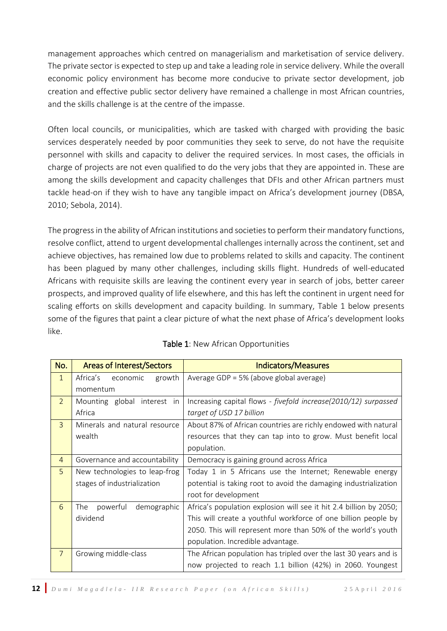management approaches which centred on managerialism and marketisation of service delivery. The private sector is expected to step up and take a leading role in service delivery. While the overall economic policy environment has become more conducive to private sector development, job creation and effective public sector delivery have remained a challenge in most African countries, and the skills challenge is at the centre of the impasse.

Often local councils, or municipalities, which are tasked with charged with providing the basic services desperately needed by poor communities they seek to serve, do not have the requisite personnel with skills and capacity to deliver the required services. In most cases, the officials in charge of projects are not even qualified to do the very jobs that they are appointed in. These are among the skills development and capacity challenges that DFIs and other African partners must tackle head-on if they wish to have any tangible impact on Africa's development journey (DBSA, 2010; Sebola, 2014).

The progress in the ability of African institutions and societies to perform their mandatory functions, resolve conflict, attend to urgent developmental challenges internally across the continent, set and achieve objectives, has remained low due to problems related to skills and capacity. The continent has been plagued by many other challenges, including skills flight. Hundreds of well-educated Africans with requisite skills are leaving the continent every year in search of jobs, better career prospects, and improved quality of life elsewhere, and this has left the continent in urgent need for scaling efforts on skills development and capacity building. In summary, Table 1 below presents some of the figures that paint a clear picture of what the next phase of Africa's development looks like.

| No.            | <b>Areas of Interest/Sectors</b> | <b>Indicators/Measures</b>                                         |  |
|----------------|----------------------------------|--------------------------------------------------------------------|--|
| $\mathbf{1}$   | Africa's<br>growth<br>economic   | Average GDP = 5% (above global average)                            |  |
|                | momentum                         |                                                                    |  |
| $\overline{2}$ | Mounting global interest in      | Increasing capital flows - fivefold increase(2010/12) surpassed    |  |
|                | Africa                           | target of USD 17 billion                                           |  |
| $\overline{3}$ | Minerals and natural resource    | About 87% of African countries are richly endowed with natural     |  |
|                | wealth                           | resources that they can tap into to grow. Must benefit local       |  |
|                |                                  | population.                                                        |  |
| $\overline{4}$ | Governance and accountability    | Democracy is gaining ground across Africa                          |  |
| 5              | New technologies to leap-frog    | Today 1 in 5 Africans use the Internet; Renewable energy           |  |
|                | stages of industrialization      | potential is taking root to avoid the damaging industrialization   |  |
|                |                                  | root for development                                               |  |
| 6              | demographic<br>powerful<br>The   | Africa's population explosion will see it hit 2.4 billion by 2050; |  |
|                | dividend                         | This will create a youthful workforce of one billion people by     |  |
|                |                                  | 2050. This will represent more than 50% of the world's youth       |  |
|                |                                  | population. Incredible advantage.                                  |  |
| $\overline{7}$ | Growing middle-class             | The African population has tripled over the last 30 years and is   |  |
|                |                                  | now projected to reach 1.1 billion (42%) in 2060. Youngest         |  |

#### Table 1: New African Opportunities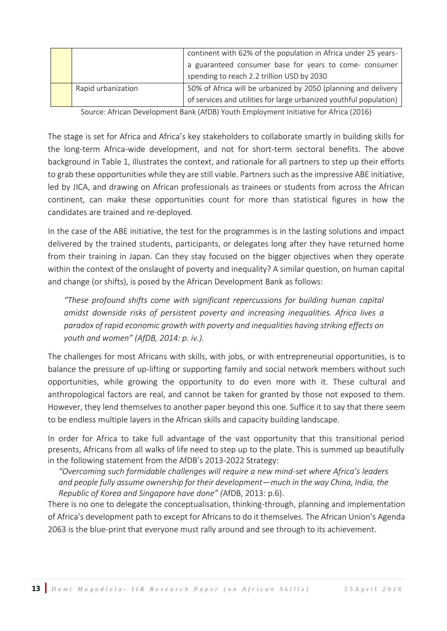|                    | continent with 62% of the population in Africa under 25 years-                                                                       |  |
|--------------------|--------------------------------------------------------------------------------------------------------------------------------------|--|
|                    | a guaranteed consumer base for years to come- consumer<br>spending to reach 2.2 trillion USD by 2030                                 |  |
| Rapid urbanization | 50% of Africa will be urbanized by 2050 (planning and delivery<br>of services and utilities for large urbanized youthful population) |  |

Source: African Development Bank (AfDB) Youth Employment Initiative for Africa (2016)

The stage is set for Africa and Africa's key stakeholders to collaborate smartly in building skills for the long-term Africa-wide development, and not for short-term sectoral benefits. The above background in Table 1, illustrates the context, and rationale for all partners to step up their efforts to grab these opportunities while they are still viable. Partners such as the impressive ABE initiative, led by JICA, and drawing on African professionals as trainees or students from across the African continent, can make these opportunities count for more than statistical figures in how the candidates are trained and re-deployed.

In the case of the ABE initiative, the test for the programmes is in the lasting solutions and impact delivered by the trained students, participants, or delegates long after they have returned home from their training in Japan. Can they stay focused on the bigger objectives when they operate within the context of the onslaught of poverty and inequality? A similar question, on human capital and change (or shifts), is posed by the African Development Bank as follows:

*"These profound shifts come with significant repercussions for building human capital amidst downside risks of persistent poverty and increasing inequalities. Africa lives a paradox of rapid economic growth with poverty and inequalities having striking effects on youth and women" (AfDB, 2014: p. iv.).*

The challenges for most Africans with skills, with jobs, or with entrepreneurial opportunities, is to balance the pressure of up-lifting or supporting family and social network members without such opportunities, while growing the opportunity to do even more with it. These cultural and anthropological factors are real, and cannot be taken for granted by those not exposed to them. However, they lend themselves to another paper beyond this one. Suffice it to say that there seem to be endless multiple layers in the African skills and capacity building landscape.

In order for Africa to take full advantage of the vast opportunity that this transitional period presents, Africans from all walks of life need to step up to the plate. This is summed up beautifully in the following statement from the AfDB's 2013-2022 Strategy:

*"Overcoming such formidable challenges will require a new mind-set where Africa's leaders and people fully assume ownership for their development—much in the way China, India, the Republic of Korea and Singapore have done" (*AfDB, 2013: p.6).

There is no one to delegate the conceptualisation, thinking-through, planning and implementation of Africa's development path to except for Africans to do it themselves. The African Union's Agenda 2063 is the blue-print that everyone must rally around and see through to its achievement.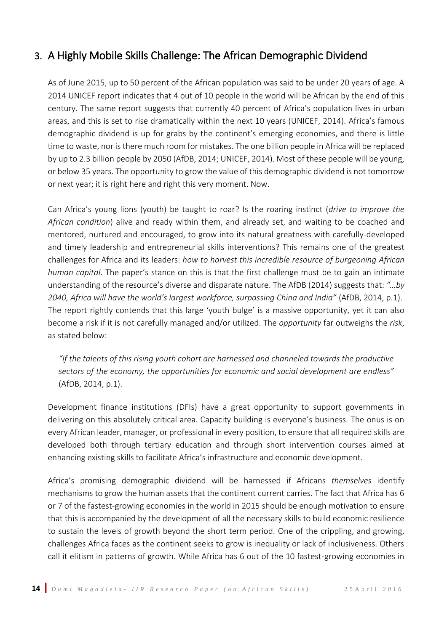# <span id="page-15-0"></span>3. A Highly Mobile Skills Challenge: The African Demographic Dividend

As of June 2015, up to 50 percent of the African population was said to be under 20 years of age. A 2014 UNICEF report indicates that 4 out of 10 people in the world will be African by the end of this century. The same report suggests that currently 40 percent of Africa's population lives in urban areas, and this is set to rise dramatically within the next 10 years (UNICEF, 2014). Africa's famous demographic dividend is up for grabs by the continent's emerging economies, and there is little time to waste, nor is there much room for mistakes. The one billion people in Africa will be replaced by up to 2.3 billion people by 2050 (AfDB, 2014; UNICEF, 2014). Most of these people will be young, or below 35 years. The opportunity to grow the value of this demographic dividend is not tomorrow or next year; it is right here and right this very moment. Now.

Can Africa's young lions (youth) be taught to roar? Is the roaring instinct (*drive to improve the African condition*) alive and ready within them, and already set, and waiting to be coached and mentored, nurtured and encouraged, to grow into its natural greatness with carefully-developed and timely leadership and entrepreneurial skills interventions? This remains one of the greatest challenges for Africa and its leaders: *how to harvest this incredible resource of burgeoning African human capital*. The paper's stance on this is that the first challenge must be to gain an intimate understanding of the resource's diverse and disparate nature. The AfDB (2014) suggests that: *"…by 2040, Africa will have the world's largest workforce, surpassing China and India"* (AfDB, 2014, p.1). The report rightly contends that this large 'youth bulge' is a massive opportunity, yet it can also become a risk if it is not carefully managed and/or utilized. The *opportunity* far outweighs the *risk*, as stated below:

*"If the talents of this rising youth cohort are harnessed and channeled towards the productive sectors of the economy, the opportunities for economic and social development are endless"*  (AfDB, 2014, p.1).

Development finance institutions (DFIs) have a great opportunity to support governments in delivering on this absolutely critical area. Capacity building is everyone's business. The onus is on every African leader, manager, or professional in every position, to ensure that all required skills are developed both through tertiary education and through short intervention courses aimed at enhancing existing skills to facilitate Africa's infrastructure and economic development.

Africa's promising demographic dividend will be harnessed if Africans *themselves* identify mechanisms to grow the human assets that the continent current carries. The fact that Africa has 6 or 7 of the fastest-growing economies in the world in 2015 should be enough motivation to ensure that this is accompanied by the development of all the necessary skills to build economic resilience to sustain the levels of growth beyond the short term period. One of the crippling, and growing, challenges Africa faces as the continent seeks to grow is inequality or lack of inclusiveness. Others call it elitism in patterns of growth. While Africa has 6 out of the 10 fastest-growing economies in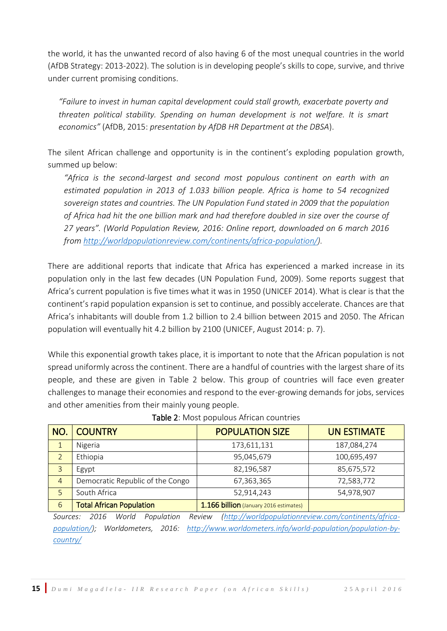the world, it has the unwanted record of also having 6 of the most unequal countries in the world (AfDB Strategy: 2013-2022). The solution is in developing people's skills to cope, survive, and thrive under current promising conditions.

*"Failure to invest in human capital development could stall growth, exacerbate poverty and threaten political stability. Spending on human development is not welfare. It is smart economics"* (AfDB, 2015: *presentation by AfDB HR Department at the DBSA*).

The silent African challenge and opportunity is in the continent's exploding population growth, summed up below:

*"Africa is the second-largest and second most populous continent on earth with an estimated population in 2013 of 1.033 billion people. Africa is home to 54 recognized sovereign states and countries. The UN Population Fund stated in 2009 that the population of Africa had hit the one billion mark and had therefore doubled in size over the course of 27 years". (World Population Review, 2016: Online report, downloaded on 6 march 2016 from [http://worldpopulationreview.com/continents/africa-population/\)](http://worldpopulationreview.com/continents/africa-population/).* 

There are additional reports that indicate that Africa has experienced a marked increase in its population only in the last few decades (UN Population Fund, 2009). Some reports suggest that Africa's current population is five times what it was in 1950 (UNICEF 2014). What is clear is that the continent's rapid population expansion is set to continue, and possibly accelerate. Chances are that Africa's inhabitants will double from 1.2 billion to 2.4 billion between 2015 and 2050. The African population will eventually hit 4.2 billion by 2100 (UNICEF, August 2014: p. 7).

While this exponential growth takes place, it is important to note that the African population is not spread uniformly across the continent. There are a handful of countries with the largest share of its people, and these are given in Table 2 below. This group of countries will face even greater challenges to manage their economies and respond to the ever-growing demands for jobs, services and other amenities from their mainly young people.

| <b>NO</b>      | <b>COUNTRY</b>                   | <b>POPULATION SIZE</b>                 | <b>UN ESTIMATE</b> |
|----------------|----------------------------------|----------------------------------------|--------------------|
| 1              | Nigeria                          | 173,611,131                            | 187,084,274        |
| 2              | Ethiopia                         | 95,045,679                             | 100,695,497        |
| 3              | Egypt                            | 82,196,587                             | 85,675,572         |
| $\overline{4}$ | Democratic Republic of the Congo | 67,363,365                             | 72,583,772         |
| 5              | South Africa                     | 52,914,243                             | 54,978,907         |
| 6              | <b>Total African Population</b>  | 1.166 billion (January 2016 estimates) |                    |
|                |                                  |                                        |                    |

| Table 2: Most populous African countries |  |
|------------------------------------------|--|
|------------------------------------------|--|

*Sources: 2016 World Population Review [\(http://worldpopulationreview.com/continents/africa](http://worldpopulationreview.com/continents/africa-population/)[population/\)](http://worldpopulationreview.com/continents/africa-population/); Worldometers, 2016: [http://www.worldometers.info/world-population/population-by](http://www.worldometers.info/world-population/population-by-country/)[country/](http://www.worldometers.info/world-population/population-by-country/)*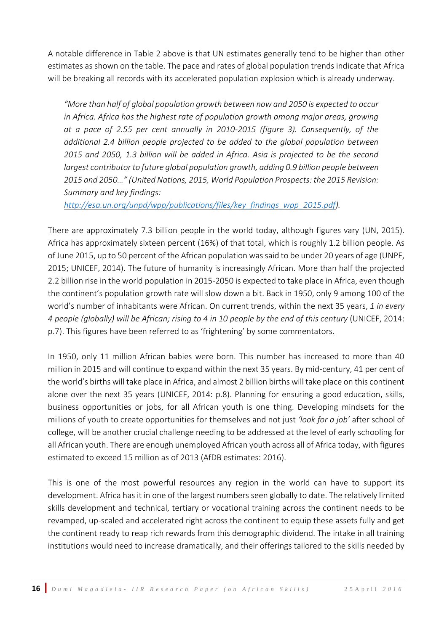A notable difference in Table 2 above is that UN estimates generally tend to be higher than other estimates as shown on the table. The pace and rates of global population trends indicate that Africa will be breaking all records with its accelerated population explosion which is already underway.

*"More than half of global population growth between now and 2050 is expected to occur in Africa. Africa has the highest rate of population growth among major areas, growing at a pace of 2.55 per cent annually in 2010-2015 (figure 3). Consequently, of the additional 2.4 billion people projected to be added to the global population between 2015 and 2050, 1.3 billion will be added in Africa. Asia is projected to be the second largest contributor to future global population growth, adding 0.9 billion people between 2015 and 2050…" (United Nations, 2015, World Population Prospects: the 2015 Revision: Summary and key findings:* 

*[http://esa.un.org/unpd/wpp/publications/files/key\\_findings\\_wpp\\_2015.pdf\)](http://esa.un.org/unpd/wpp/publications/files/key_findings_wpp_2015.pdf).* 

There are approximately 7.3 billion people in the world today, although figures vary (UN, 2015). Africa has approximately sixteen percent (16%) of that total, which is roughly 1.2 billion people. As of June 2015, up to 50 percent of the African population was said to be under 20 years of age (UNPF, 2015; UNICEF, 2014). The future of humanity is increasingly African. More than half the projected 2.2 billion rise in the world population in 2015-2050 is expected to take place in Africa, even though the continent's population growth rate will slow down a bit. Back in 1950, only 9 among 100 of the world's number of inhabitants were African. On current trends, within the next 35 years, *1 in every 4 people (globally) will be African; rising to 4 in 10 people by the end of this century* (UNICEF, 2014: p.7). This figures have been referred to as 'frightening' by some commentators.

In 1950, only 11 million African babies were born. This number has increased to more than 40 million in 2015 and will continue to expand within the next 35 years. By mid-century, 41 per cent of the world's births will take place in Africa, and almost 2 billion births will take place on this continent alone over the next 35 years (UNICEF, 2014: p.8). Planning for ensuring a good education, skills, business opportunities or jobs, for all African youth is one thing. Developing mindsets for the millions of youth to create opportunities for themselves and not just *'look for a job'* after school of college, will be another crucial challenge needing to be addressed at the level of early schooling for all African youth. There are enough unemployed African youth across all of Africa today, with figures estimated to exceed 15 million as of 2013 (AfDB estimates: 2016).

This is one of the most powerful resources any region in the world can have to support its development. Africa has it in one of the largest numbers seen globally to date. The relatively limited skills development and technical, tertiary or vocational training across the continent needs to be revamped, up-scaled and accelerated right across the continent to equip these assets fully and get the continent ready to reap rich rewards from this demographic dividend. The intake in all training institutions would need to increase dramatically, and their offerings tailored to the skills needed by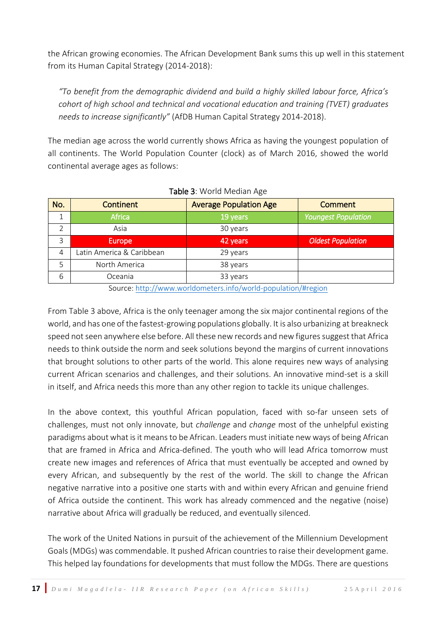the African growing economies. The African Development Bank sums this up well in this statement from its Human Capital Strategy (2014-2018):

*"To benefit from the demographic dividend and build a highly skilled labour force, Africa's cohort of high school and technical and vocational education and training (TVET) graduates needs to increase significantly"* (AfDB Human Capital Strategy 2014-2018).

The median age across the world currently shows Africa as having the youngest population of all continents. The World Population Counter (clock) as of March 2016, showed the world continental average ages as follows:

| No. | <b>Continent</b>         | <b>Average Population Age</b> | Comment                    |
|-----|--------------------------|-------------------------------|----------------------------|
|     | <b>Africa</b>            | 19 years                      | <b>Youngest Population</b> |
|     | Asia                     | 30 years                      |                            |
| 3   | <b>Europe</b>            | 42 years                      | <b>Oldest Population</b>   |
| 4   | atin America & Caribbean | 29 years                      |                            |
| 5   | North America            | 38 years                      |                            |
| 6   | Oceania                  | 33 years                      |                            |

#### Table 3: World Median Age

Source: <http://www.worldometers.info/world-population/#region>

From Table 3 above, Africa is the only teenager among the six major continental regions of the world, and has one of the fastest-growing populations globally. It is also urbanizing at breakneck speed not seen anywhere else before. All these new records and new figures suggest that Africa needs to think outside the norm and seek solutions beyond the margins of current innovations that brought solutions to other parts of the world. This alone requires new ways of analysing current African scenarios and challenges, and their solutions. An innovative mind-set is a skill in itself, and Africa needs this more than any other region to tackle its unique challenges.

In the above context, this youthful African population, faced with so-far unseen sets of challenges, must not only innovate, but *challenge* and *change* most of the unhelpful existing paradigms about what is it means to be African. Leaders must initiate new ways of being African that are framed in Africa and Africa-defined. The youth who will lead Africa tomorrow must create new images and references of Africa that must eventually be accepted and owned by every African, and subsequently by the rest of the world. The skill to change the African negative narrative into a positive one starts with and within every African and genuine friend of Africa outside the continent. This work has already commenced and the negative (noise) narrative about Africa will gradually be reduced, and eventually silenced.

The work of the United Nations in pursuit of the achievement of the Millennium Development Goals (MDGs) was commendable. It pushed African countries to raise their development game. This helped lay foundations for developments that must follow the MDGs. There are questions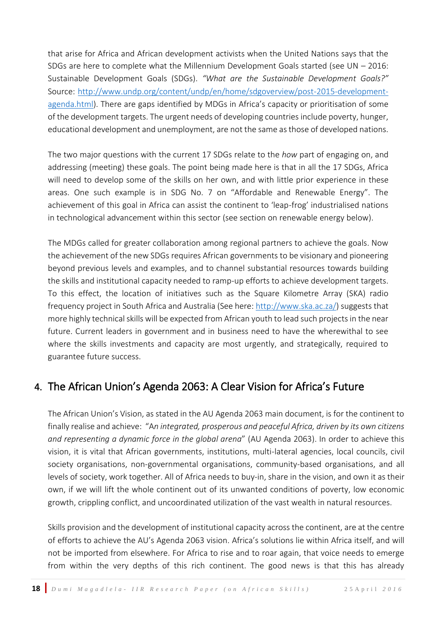that arise for Africa and African development activists when the United Nations says that the SDGs are here to complete what the Millennium Development Goals started (see  $UN - 2016$ : Sustainable Development Goals (SDGs). *"What are the Sustainable Development Goals?"* Source: [http://www.undp.org/content/undp/en/home/sdgoverview/post-2015-development](http://www.undp.org/content/undp/en/home/sdgoverview/post-2015-development-agenda.html)[agenda.html\)](http://www.undp.org/content/undp/en/home/sdgoverview/post-2015-development-agenda.html). There are gaps identified by MDGs in Africa's capacity or prioritisation of some of the development targets. The urgent needs of developing countries include poverty, hunger, educational development and unemployment, are not the same as those of developed nations.

The two major questions with the current 17 SDGs relate to the *how* part of engaging on, and addressing (meeting) these goals. The point being made here is that in all the 17 SDGs, Africa will need to develop some of the skills on her own, and with little prior experience in these areas. One such example is in SDG No. 7 on "Affordable and Renewable Energy". The achievement of this goal in Africa can assist the continent to 'leap-frog' industrialised nations in technological advancement within this sector (see section on renewable energy below).

The MDGs called for greater collaboration among regional partners to achieve the goals. Now the achievement of the new SDGs requires African governments to be visionary and pioneering beyond previous levels and examples, and to channel substantial resources towards building the skills and institutional capacity needed to ramp-up efforts to achieve development targets. To this effect, the location of initiatives such as the Square Kilometre Array (SKA) radio frequency project in South Africa and Australia (See here[: http://www.ska.ac.za/\)](http://www.ska.ac.za/) suggests that more highly technical skills will be expected from African youth to lead such projects in the near future. Current leaders in government and in business need to have the wherewithal to see where the skills investments and capacity are most urgently, and strategically, required to guarantee future success.

### <span id="page-19-0"></span>4. The African Union's Agenda 2063: A Clear Vision for Africa's Future

The African Union's Vision, as stated in the AU Agenda 2063 main document, is for the continent to finally realise and achieve: "A*n integrated, prosperous and peaceful Africa, driven by its own citizens and representing a dynamic force in the global arena*" (AU Agenda 2063). In order to achieve this vision, it is vital that African governments, institutions, multi-lateral agencies, local councils, civil society organisations, non-governmental organisations, community-based organisations, and all levels of society, work together. All of Africa needs to buy-in, share in the vision, and own it as their own, if we will lift the whole continent out of its unwanted conditions of poverty, low economic growth, crippling conflict, and uncoordinated utilization of the vast wealth in natural resources.

Skills provision and the development of institutional capacity across the continent, are at the centre of efforts to achieve the AU's Agenda 2063 vision. Africa's solutions lie within Africa itself, and will not be imported from elsewhere. For Africa to rise and to roar again, that voice needs to emerge from within the very depths of this rich continent. The good news is that this has already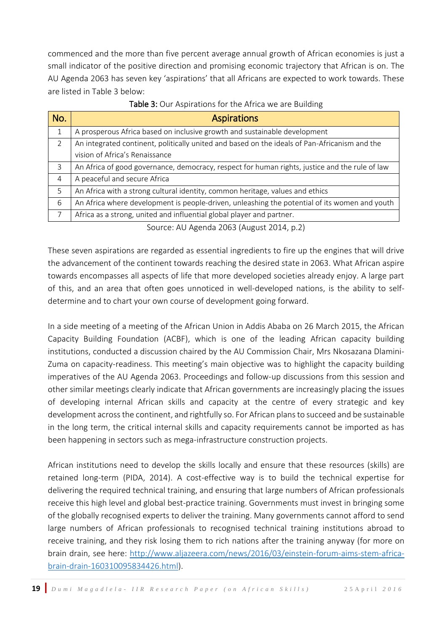commenced and the more than five percent average annual growth of African economies is just a small indicator of the positive direction and promising economic trajectory that African is on. The AU Agenda 2063 has seven key 'aspirations' that all Africans are expected to work towards. These are listed in Table 3 below:

| <b>Aspirations</b>                                                                             |  |  |
|------------------------------------------------------------------------------------------------|--|--|
| A prosperous Africa based on inclusive growth and sustainable development                      |  |  |
| An integrated continent, politically united and based on the ideals of Pan-Africanism and the  |  |  |
| vision of Africa's Renaissance                                                                 |  |  |
| An Africa of good governance, democracy, respect for human rights, justice and the rule of law |  |  |
| A peaceful and secure Africa                                                                   |  |  |
| An Africa with a strong cultural identity, common heritage, values and ethics                  |  |  |
| An Africa where development is people-driven, unleashing the potential of its women and youth  |  |  |
| Africa as a strong, united and influential global player and partner.                          |  |  |
|                                                                                                |  |  |

| Table 3: Our Aspirations for the Africa we are Building |
|---------------------------------------------------------|
|---------------------------------------------------------|

Source: AU Agenda 2063 (August 2014, p.2)

These seven aspirations are regarded as essential ingredients to fire up the engines that will drive the advancement of the continent towards reaching the desired state in 2063. What African aspire towards encompasses all aspects of life that more developed societies already enjoy. A large part of this, and an area that often goes unnoticed in well-developed nations, is the ability to selfdetermine and to chart your own course of development going forward.

In a side meeting of a meeting of the African Union in Addis Ababa on 26 March 2015, the African Capacity Building Foundation (ACBF), which is one of the leading African capacity building institutions, conducted a discussion chaired by the AU Commission Chair, Mrs Nkosazana Dlamini-Zuma on capacity-readiness. This meeting's main objective was to highlight the capacity building imperatives of the AU Agenda 2063. Proceedings and follow-up discussions from this session and other similar meetings clearly indicate that African governments are increasingly placing the issues of developing internal African skills and capacity at the centre of every strategic and key development across the continent, and rightfully so. For African plans to succeed and be sustainable in the long term, the critical internal skills and capacity requirements cannot be imported as has been happening in sectors such as mega-infrastructure construction projects.

African institutions need to develop the skills locally and ensure that these resources (skills) are retained long-term (PIDA, 2014). A cost-effective way is to build the technical expertise for delivering the required technical training, and ensuring that large numbers of African professionals receive this high level and global best-practice training. Governments must invest in bringing some of the globally recognised experts to deliver the training. Many governments cannot afford to send large numbers of African professionals to recognised technical training institutions abroad to receive training, and they risk losing them to rich nations after the training anyway (for more on brain drain, see here: [http://www.aljazeera.com/news/2016/03/einstein-forum-aims-stem-africa](http://www.aljazeera.com/news/2016/03/einstein-forum-aims-stem-africa-brain-drain-160310095834426.html)[brain-drain-160310095834426.html\)](http://www.aljazeera.com/news/2016/03/einstein-forum-aims-stem-africa-brain-drain-160310095834426.html).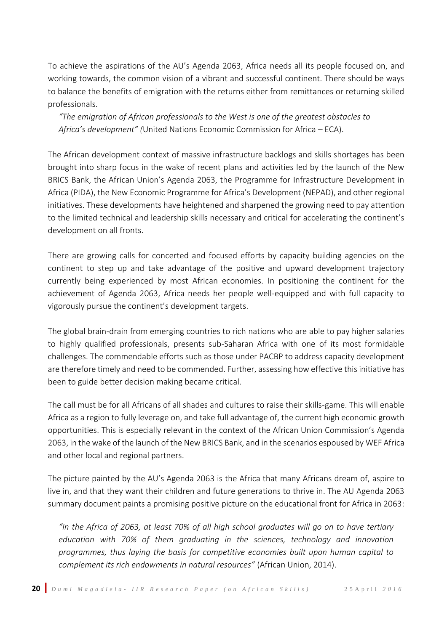To achieve the aspirations of the AU's Agenda 2063, Africa needs all its people focused on, and working towards, the common vision of a vibrant and successful continent. There should be ways to balance the benefits of emigration with the returns either from remittances or returning skilled professionals.

*"The emigration of African professionals to the West is one of the greatest obstacles to Africa's development" (*United Nations Economic Commission for Africa – ECA).

The African development context of massive infrastructure backlogs and skills shortages has been brought into sharp focus in the wake of recent plans and activities led by the launch of the New BRICS Bank, the African Union's Agenda 2063, the Programme for Infrastructure Development in Africa (PIDA), the New Economic Programme for Africa's Development (NEPAD), and other regional initiatives. These developments have heightened and sharpened the growing need to pay attention to the limited technical and leadership skills necessary and critical for accelerating the continent's development on all fronts.

There are growing calls for concerted and focused efforts by capacity building agencies on the continent to step up and take advantage of the positive and upward development trajectory currently being experienced by most African economies. In positioning the continent for the achievement of Agenda 2063, Africa needs her people well-equipped and with full capacity to vigorously pursue the continent's development targets.

The global brain-drain from emerging countries to rich nations who are able to pay higher salaries to highly qualified professionals, presents sub-Saharan Africa with one of its most formidable challenges. The commendable efforts such as those under PACBP to address capacity development are therefore timely and need to be commended. Further, assessing how effective this initiative has been to guide better decision making became critical.

The call must be for all Africans of all shades and cultures to raise their skills-game. This will enable Africa as a region to fully leverage on, and take full advantage of, the current high economic growth opportunities. This is especially relevant in the context of the African Union Commission's Agenda 2063, in the wake of the launch of the New BRICS Bank, and in the scenarios espoused by WEF Africa and other local and regional partners.

The picture painted by the AU's Agenda 2063 is the Africa that many Africans dream of, aspire to live in, and that they want their children and future generations to thrive in. The AU Agenda 2063 summary document paints a promising positive picture on the educational front for Africa in 2063:

*"In the Africa of 2063, at least 70% of all high school graduates will go on to have tertiary education with 70% of them graduating in the sciences, technology and innovation programmes, thus laying the basis for competitive economies built upon human capital to complement its rich endowments in natural resources"* (African Union, 2014).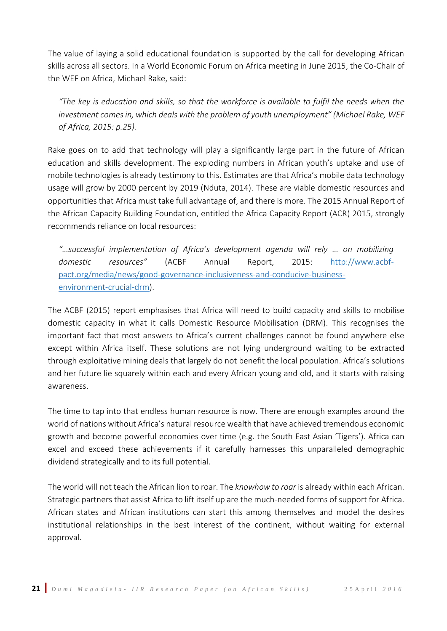The value of laying a solid educational foundation is supported by the call for developing African skills across all sectors. In a World Economic Forum on Africa meeting in June 2015, the Co-Chair of the WEF on Africa, Michael Rake, said:

*"The key is education and skills, so that the workforce is available to fulfil the needs when the investment comes in, which deals with the problem of youth unemployment" (Michael Rake, WEF of Africa, 2015: p.25).* 

Rake goes on to add that technology will play a significantly large part in the future of African education and skills development. The exploding numbers in African youth's uptake and use of mobile technologies is already testimony to this. Estimates are that Africa's mobile data technology usage will grow by 2000 percent by 2019 (Nduta, 2014). These are viable domestic resources and opportunities that Africa must take full advantage of, and there is more. The 2015 Annual Report of the African Capacity Building Foundation, entitled the Africa Capacity Report (ACR) 2015, strongly recommends reliance on local resources:

*"…successful implementation of Africa's development agenda will rely … on mobilizing domestic resources"* (ACBF Annual Report, 2015: [http://www.acbf](http://www.acbf-pact.org/media/news/good-governance-inclusiveness-and-conducive-business-environment-crucial-drm)[pact.org/media/news/good-governance-inclusiveness-and-conducive-business](http://www.acbf-pact.org/media/news/good-governance-inclusiveness-and-conducive-business-environment-crucial-drm)[environment-crucial-drm\)](http://www.acbf-pact.org/media/news/good-governance-inclusiveness-and-conducive-business-environment-crucial-drm).

The ACBF (2015) report emphasises that Africa will need to build capacity and skills to mobilise domestic capacity in what it calls Domestic Resource Mobilisation (DRM). This recognises the important fact that most answers to Africa's current challenges cannot be found anywhere else except within Africa itself. These solutions are not lying underground waiting to be extracted through exploitative mining deals that largely do not benefit the local population. Africa's solutions and her future lie squarely within each and every African young and old, and it starts with raising awareness.

The time to tap into that endless human resource is now. There are enough examples around the world of nations without Africa's natural resource wealth that have achieved tremendous economic growth and become powerful economies over time (e.g. the South East Asian 'Tigers'). Africa can excel and exceed these achievements if it carefully harnesses this unparalleled demographic dividend strategically and to its full potential.

The world will not teach the African lion to roar. The *knowhow to roar* is already within each African. Strategic partners that assist Africa to lift itself up are the much-needed forms of support for Africa. African states and African institutions can start this among themselves and model the desires institutional relationships in the best interest of the continent, without waiting for external approval.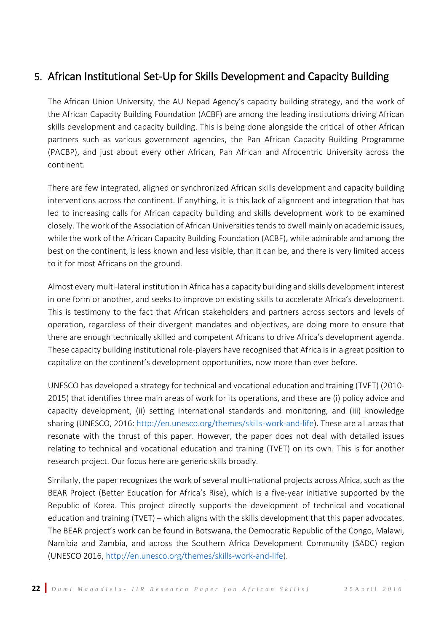# <span id="page-23-0"></span>5. African Institutional Set-Up for Skills Development and Capacity Building

The African Union University, the AU Nepad Agency's capacity building strategy, and the work of the African Capacity Building Foundation (ACBF) are among the leading institutions driving African skills development and capacity building. This is being done alongside the critical of other African partners such as various government agencies, the Pan African Capacity Building Programme (PACBP), and just about every other African, Pan African and Afrocentric University across the continent.

There are few integrated, aligned or synchronized African skills development and capacity building interventions across the continent. If anything, it is this lack of alignment and integration that has led to increasing calls for African capacity building and skills development work to be examined closely. The work of the Association of African Universities tends to dwell mainly on academic issues, while the work of the African Capacity Building Foundation (ACBF), while admirable and among the best on the continent, is less known and less visible, than it can be, and there is very limited access to it for most Africans on the ground.

Almost every multi-lateral institution in Africa has a capacity building and skills development interest in one form or another, and seeks to improve on existing skills to accelerate Africa's development. This is testimony to the fact that African stakeholders and partners across sectors and levels of operation, regardless of their divergent mandates and objectives, are doing more to ensure that there are enough technically skilled and competent Africans to drive Africa's development agenda. These capacity building institutional role-players have recognised that Africa is in a great position to capitalize on the continent's development opportunities, now more than ever before.

UNESCO has developed a [strategy for technical and vocational education and training \(TVET\) \(2010-](http://www.unesco.org/new/en/education/themes/education-building-blocks/technical-vocational-education-and-training-tvet/strategy/) [2015\)](http://www.unesco.org/new/en/education/themes/education-building-blocks/technical-vocational-education-and-training-tvet/strategy/) that identifies three main areas of work for its operations, and these are (i) policy advice and capacity development, (ii) setting international standards and monitoring, and (iii) knowledge sharing (UNESCO, 2016: [http://en.unesco.org/themes/skills-work-and-life\)](http://en.unesco.org/themes/skills-work-and-life). These are all areas that resonate with the thrust of this paper. However, the paper does not deal with detailed issues relating to technical and vocational education and training (TVET) on its own. This is for another research project. Our focus here are generic skills broadly.

Similarly, the paper recognizes the work of several multi-national projects across Africa, such as the [BEAR Project](http://www.unesco.org/new/en/education/themes/education-building-blocks/technical-vocational-education-and-training-tvet/the-bear-project/) (Better Education for Africa's Rise), which is a five-year initiative supported by the Republic of Korea. This project directly supports the development of technical and vocational education and training (TVET) – which aligns with the skills development that this paper advocates. The BEAR project's work can be found in Botswana, the Democratic Republic of the Congo, Malawi, Namibia and Zambia, and across the Southern Africa Development Community (SADC) region (UNESCO 2016, [http://en.unesco.org/themes/skills-work-and-life\)](http://en.unesco.org/themes/skills-work-and-life).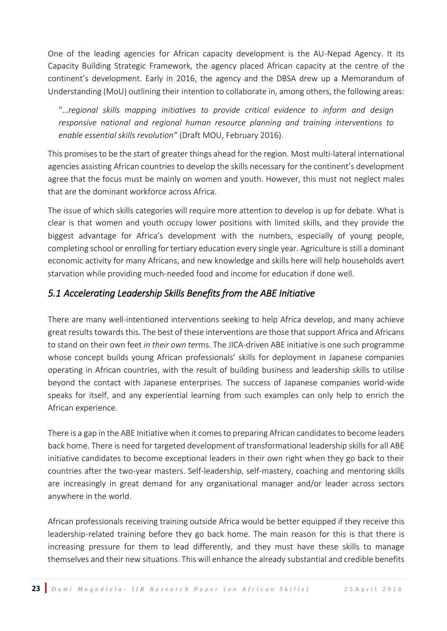One of the leading agencies for African capacity development is the AU-Nepad Agency. It its Capacity Building Strategic Framework, the agency placed African capacity at the centre of the continent's development. Early in 2016, the agency and the DBSA drew up a Memorandum of Understanding (MoU) outlining their intention to collaborate in, among others, the following areas:

"…*regional skills mapping initiatives to provide critical evidence to inform and design responsive national and regional human resource planning and training interventions to enable essential skills revolution"* (Draft MOU, February 2016).

This promises to be the start of greater things ahead for the region. Most multi-lateral international agencies assisting African countries to develop the skills necessary for the continent's development agree that the focus must be mainly on women and youth. However, this must not neglect males that are the dominant workforce across Africa.

The issue of which skills categories will require more attention to develop is up for debate. What is clear is that women and youth occupy lower positions with limited skills, and they provide the biggest advantage for Africa's development with the numbers, especially of young people, completing school or enrolling for tertiary education every single year. Agriculture is still a dominant economic activity for many Africans, and new knowledge and skills here will help households avert starvation while providing much-needed food and income for education if done well.

### *5.1 Accelerating Leadership Skills Benefits from the ABE Initiative*

There are many well-intentioned interventions seeking to help Africa develop, and many achieve great results towards this. The best of these interventions are those that support Africa and Africans to stand on their own feet *in their own ter*ms. The JICA-driven ABE initiative is one such programme whose concept builds young African professionals' skills for deployment in Japanese companies operating in African countries, with the result of building business and leadership skills to utilise beyond the contact with Japanese enterprises. The success of Japanese companies world-wide speaks for itself, and any experiential learning from such examples can only help to enrich the African experience.

There is a gap in the ABE Initiative when it comes to preparing African candidates to become leaders back home. There is need for targeted development of transformational leadership skills for all ABE initiative candidates to become exceptional leaders in their own right when they go back to their countries after the two-year masters. Self-leadership, self-mastery, coaching and mentoring skills are increasingly in great demand for any organisational manager and/or leader across sectors anywhere in the world.

African professionals receiving training outside Africa would be better equipped if they receive this leadership-related training before they go back home. The main reason for this is that there is increasing pressure for them to lead differently, and they must have these skills to manage themselves and their new situations. This will enhance the already substantial and credible benefits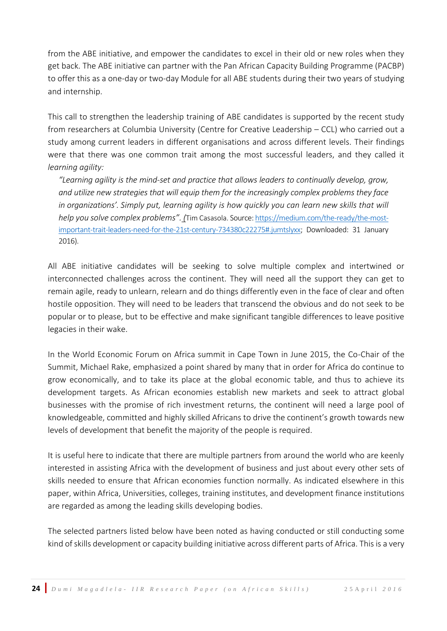from the ABE initiative, and empower the candidates to excel in their old or new roles when they get back. The ABE initiative can partner with the Pan African Capacity Building Programme (PACBP) to offer this as a one-day or two-day Module for all ABE students during their two years of studying and internship.

This call to strengthen the leadership training of ABE candidates is supported by the recent study from researchers at Columbia University (Centre for Creative Leadership – CCL) who carried out a study among current leaders in different organisations and across different levels. Their findings were that there was one common trait among the most successful leaders, and they called it *learning agility:* 

*"Learning agility is the mind-set and practice that allows leaders to continually develop, grow, and utilize new strategies that will equip them for the increasingly complex problems they face in organizations'. Simply put, learning agility is how quickly you can learn new skills that will help you solve complex problems". (*[Tim Casasola.](https://medium.com/@timcasasola) Source[: https://medium.com/the-ready/the-most](https://medium.com/the-ready/the-most-important-trait-leaders-need-for-the-21st-century-734380c22275#.jumtslyxx)[important-trait-leaders-need-for-the-21st-century-734380c22275#.jumtslyxx;](https://medium.com/the-ready/the-most-important-trait-leaders-need-for-the-21st-century-734380c22275#.jumtslyxx) Downloaded: 31 January 2016).

All ABE initiative candidates will be seeking to solve multiple complex and intertwined or interconnected challenges across the continent. They will need all the support they can get to remain agile, ready to unlearn, relearn and do things differently even in the face of clear and often hostile opposition. They will need to be leaders that transcend the obvious and do not seek to be popular or to please, but to be effective and make significant tangible differences to leave positive legacies in their wake.

In the World Economic Forum on Africa summit in Cape Town in June 2015, the Co-Chair of the Summit, Michael Rake, emphasized a point shared by many that in order for Africa do continue to grow economically, and to take its place at the global economic table, and thus to achieve its development targets. As African economies establish new markets and seek to attract global businesses with the promise of rich investment returns, the continent will need a large pool of knowledgeable, committed and highly skilled Africans to drive the continent's growth towards new levels of development that benefit the majority of the people is required.

It is useful here to indicate that there are multiple partners from around the world who are keenly interested in assisting Africa with the development of business and just about every other sets of skills needed to ensure that African economies function normally. As indicated elsewhere in this paper, within Africa, Universities, colleges, training institutes, and development finance institutions are regarded as among the leading skills developing bodies.

The selected partners listed below have been noted as having conducted or still conducting some kind of skills development or capacity building initiative across different parts of Africa. This is a very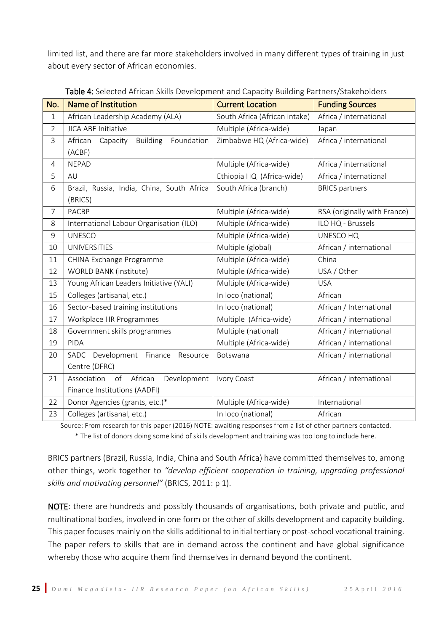limited list, and there are far more stakeholders involved in many different types of training in just about every sector of African economies.

| No.            | <b>Name of Institution</b>                    | <b>Current Location</b>       | <b>Funding Sources</b>       |
|----------------|-----------------------------------------------|-------------------------------|------------------------------|
| $\mathbf{1}$   | African Leadership Academy (ALA)              | South Africa (African intake) | Africa / international       |
| $\overline{2}$ | <b>JICA ABE Initiative</b>                    | Multiple (Africa-wide)        | Japan                        |
| 3              | Building<br>Foundation<br>African<br>Capacity | Zimbabwe HQ (Africa-wide)     | Africa / international       |
|                | (ACBF)                                        |                               |                              |
| 4              | <b>NEPAD</b>                                  | Multiple (Africa-wide)        | Africa / international       |
| 5              | AU                                            | Ethiopia HQ (Africa-wide)     | Africa / international       |
| 6              | Brazil, Russia, India, China, South Africa    | South Africa (branch)         | <b>BRICS</b> partners        |
|                | (BRICS)                                       |                               |                              |
| $\overline{7}$ | <b>PACBP</b>                                  | Multiple (Africa-wide)        | RSA (originally with France) |
| 8              | International Labour Organisation (ILO)       | Multiple (Africa-wide)        | ILO HQ - Brussels            |
| 9              | <b>UNESCO</b>                                 | Multiple (Africa-wide)        | UNESCO HQ                    |
| 10             | <b>UNIVERSITIES</b>                           | Multiple (global)             | African / international      |
| 11             | CHINA Exchange Programme                      | Multiple (Africa-wide)        | China                        |
| 12             | WORLD BANK (institute)                        | Multiple (Africa-wide)        | USA / Other                  |
| 13             | Young African Leaders Initiative (YALI)       | Multiple (Africa-wide)        | <b>USA</b>                   |
| 15             | Colleges (artisanal, etc.)                    | In loco (national)            | African                      |
| 16             | Sector-based training institutions            | In loco (national)            | African / International      |
| 17             | Workplace HR Programmes                       | Multiple (Africa-wide)        | African / international      |
| 18             | Government skills programmes                  | Multiple (national)           | African / international      |
| 19             | PIDA                                          | Multiple (Africa-wide)        | African / international      |
| 20             | SADC Development Finance<br>Resource          | Botswana                      | African / international      |
|                | Centre (DFRC)                                 |                               |                              |
| 21             | of<br>African<br>Development<br>Association   | Ivory Coast                   | African / international      |
|                | Finance Institutions (AADFI)                  |                               |                              |
| 22             | Donor Agencies (grants, etc.)*                | Multiple (Africa-wide)        | International                |
| 23             | Colleges (artisanal, etc.)                    | In loco (national)            | African                      |

Table 4: Selected African Skills Development and Capacity Building Partners/Stakeholders

Source: From research for this paper (2016) NOTE: awaiting responses from a list of other partners contacted. \* The list of donors doing some kind of skills development and training was too long to include here.

BRICS partners (Brazil, Russia, India, China and South Africa) have committed themselves to, among other things, work together to *"develop efficient cooperation in training, upgrading professional skills and motivating personnel"* (BRICS, 2011: p 1).

NOTE: there are hundreds and possibly thousands of organisations, both private and public, and multinational bodies, involved in one form or the other of skills development and capacity building. This paper focuses mainly on the skills additional to initial tertiary or post-school vocational training. The paper refers to skills that are in demand across the continent and have global significance whereby those who acquire them find themselves in demand beyond the continent.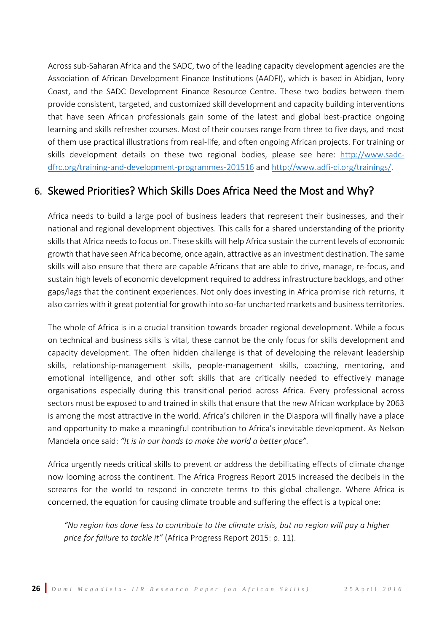Across sub-Saharan Africa and the SADC, two of the leading capacity development agencies are the Association of African Development Finance Institutions (AADFI), which is based in Abidjan, Ivory Coast, and the SADC Development Finance Resource Centre. These two bodies between them provide consistent, targeted, and customized skill development and capacity building interventions that have seen African professionals gain some of the latest and global best-practice ongoing learning and skills refresher courses. Most of their courses range from three to five days, and most of them use practical illustrations from real-life, and often ongoing African projects. For training or skills development details on these two regional bodies, please see here: [http://www.sadc](http://www.sadc-dfrc.org/training-and-development-programmes-201516)[dfrc.org/training-and-development-programmes-201516](http://www.sadc-dfrc.org/training-and-development-programmes-201516) and [http://www.adfi-ci.org/trainings/.](http://www.adfi-ci.org/trainings/)

### <span id="page-27-0"></span>6. Skewed Priorities? Which Skills Does Africa Need the Most and Why?

Africa needs to build a large pool of business leaders that represent their businesses, and their national and regional development objectives. This calls for a shared understanding of the priority skills that Africa needs to focus on. These skills will help Africa sustain the current levels of economic growth that have seen Africa become, once again, attractive as an investment destination. The same skills will also ensure that there are capable Africans that are able to drive, manage, re-focus, and sustain high levels of economic development required to address infrastructure backlogs, and other gaps/lags that the continent experiences. Not only does investing in Africa promise rich returns, it also carries with it great potential for growth into so-far uncharted markets and business territories.

The whole of Africa is in a crucial transition towards broader regional development. While a focus on technical and business skills is vital, these cannot be the only focus for skills development and capacity development. The often hidden challenge is that of developing the relevant leadership skills, relationship-management skills, people-management skills, coaching, mentoring, and emotional intelligence, and other soft skills that are critically needed to effectively manage organisations especially during this transitional period across Africa. Every professional across sectors must be exposed to and trained in skills that ensure that the new African workplace by 2063 is among the most attractive in the world. Africa's children in the Diaspora will finally have a place and opportunity to make a meaningful contribution to Africa's inevitable development. As Nelson Mandela once said: *"It is in our hands to make the world a better place".*

Africa urgently needs critical skills to prevent or address the debilitating effects of climate change now looming across the continent. The Africa Progress Report 2015 increased the decibels in the screams for the world to respond in concrete terms to this global challenge. Where Africa is concerned, the equation for causing climate trouble and suffering the effect is a typical one:

*"No region has done less to contribute to the climate crisis, but no region will pay a higher price for failure to tackle it"* (Africa Progress Report 2015: p. 11).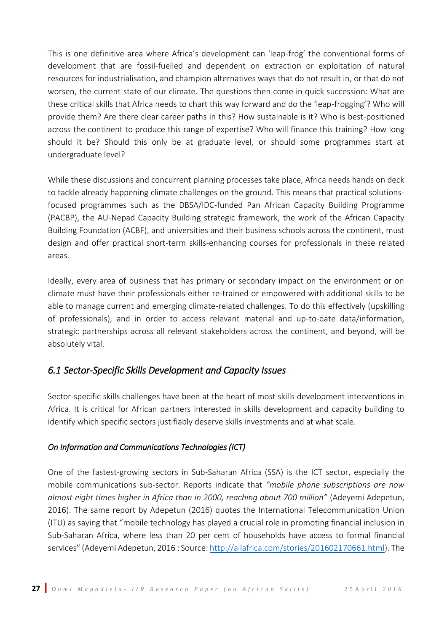This is one definitive area where Africa's development can 'leap-frog' the conventional forms of development that are fossil-fuelled and dependent on extraction or exploitation of natural resources for industrialisation, and champion alternatives ways that do not result in, or that do not worsen, the current state of our climate. The questions then come in quick succession: What are these critical skills that Africa needs to chart this way forward and do the 'leap-frogging'? Who will provide them? Are there clear career paths in this? How sustainable is it? Who is best-positioned across the continent to produce this range of expertise? Who will finance this training? How long should it be? Should this only be at graduate level, or should some programmes start at undergraduate level?

While these discussions and concurrent planning processes take place, Africa needs hands on deck to tackle already happening climate challenges on the ground. This means that practical solutionsfocused programmes such as the DBSA/IDC-funded Pan African Capacity Building Programme (PACBP), the AU-Nepad Capacity Building strategic framework, the work of the African Capacity Building Foundation (ACBF), and universities and their business schools across the continent, must design and offer practical short-term skills-enhancing courses for professionals in these related areas.

Ideally, every area of business that has primary or secondary impact on the environment or on climate must have their professionals either re-trained or empowered with additional skills to be able to manage current and emerging climate-related challenges. To do this effectively (upskilling of professionals), and in order to access relevant material and up-to-date data/information, strategic partnerships across all relevant stakeholders across the continent, and beyond, will be absolutely vital.

#### *6.1 Sector-Specific Skills Development and Capacity Issues*

Sector-specific skills challenges have been at the heart of most skills development interventions in Africa. It is critical for African partners interested in skills development and capacity building to identify which specific sectors justifiably deserve skills investments and at what scale.

#### *On Information and Communications Technologies (ICT)*

One of the fastest-growing sectors in Sub-Saharan Africa (SSA) is the ICT sector, especially the mobile communications sub-sector. Reports indicate that *"mobile phone subscriptions are now almost eight times higher in Africa than in 2000, reaching about 700 million"* (Adeyemi Adepetun, 2016). The same report by Adepetun (2016) quotes the International Telecommunication Union (ITU) as saying that "mobile technology has played a crucial role in promoting financial inclusion in Sub-Saharan Africa, where less than 20 per cent of households have access to formal financial services" (Adeyemi Adepetun, 2016 : Source[: http://allafrica.com/stories/201602170661.html\)](http://allafrica.com/stories/201602170661.html). The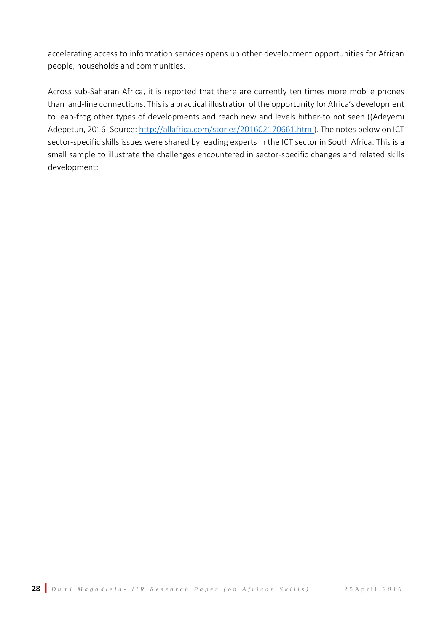accelerating access to information services opens up other development opportunities for African people, households and communities.

Across sub-Saharan Africa, it is reported that there are currently ten times more mobile phones than land-line connections. This is a practical illustration of the opportunity for Africa's development to leap-frog other types of developments and reach new and levels hither-to not seen ((Adeyemi Adepetun, 2016: Source: [http://allafrica.com/stories/201602170661.html\)](http://allafrica.com/stories/201602170661.html). The notes below on ICT sector-specific skills issues were shared by leading experts in the ICT sector in South Africa. This is a small sample to illustrate the challenges encountered in sector-specific changes and related skills development: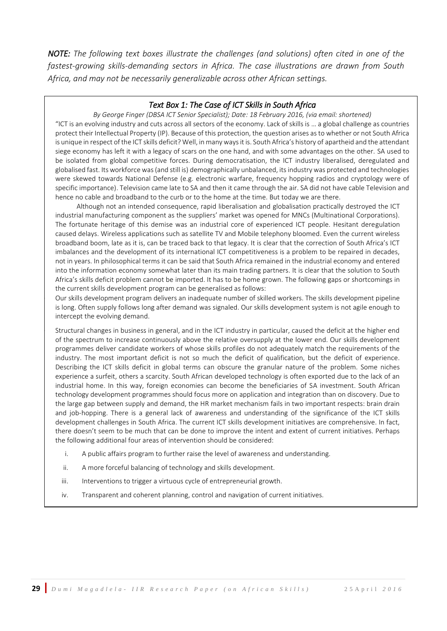*NOTE: The following text boxes illustrate the challenges (and solutions) often cited in one of the fastest-growing skills-demanding sectors in Africa. The case illustrations are drawn from South Africa, and may not be necessarily generalizable across other African settings.*

#### *Text Box 1: The Case of ICT Skills in South Africa*

*By George Finger (DBSA ICT Senior Specialist); Date: 18 February 2016, (via email: shortened)* "ICT is an evolving industry and cuts across all sectors of the economy. Lack of skills is … a global challenge as countries protect their Intellectual Property (IP). Because of this protection, the question arises as to whether or not South Africa is unique in respect of the ICT skills deficit? Well, in many ways it is. South Africa's history of apartheid and the attendant siege economy has left it with a legacy of scars on the one hand, and with some advantages on the other. SA used to be isolated from global competitive forces. During democratisation, the ICT industry liberalised, deregulated and globalised fast. Its workforce was (and still is) demographically unbalanced, its industry was protected and technologies were skewed towards National Defense (e.g. electronic warfare, frequency hopping radios and cryptology were of specific importance). Television came late to SA and then it came through the air. SA did not have cable Television and hence no cable and broadband to the curb or to the home at the time. But today we are there.

Although not an intended consequence, rapid liberalisation and globalisation practically destroyed the ICT industrial manufacturing component as the suppliers' market was opened for MNCs (Multinational Corporations). The fortunate heritage of this demise was an industrial core of experienced ICT people. Hesitant deregulation caused delays. Wireless applications such as satellite TV and Mobile telephony bloomed. Even the current wireless broadband boom, late as it is, can be traced back to that legacy. It is clear that the correction of South Africa's ICT imbalances and the development of its international ICT competitiveness is a problem to be repaired in decades, not in years. In philosophical terms it can be said that South Africa remained in the industrial economy and entered into the information economy somewhat later than its main trading partners. It is clear that the solution to South Africa's skills deficit problem cannot be imported. It has to be home grown. The following gaps or shortcomings in the current skills development program can be generalised as follows:

 Our skills development program delivers an inadequate number of skilled workers. The skills development pipeline is long. Often supply follows long after demand was signaled. Our skills development system is not agile enough to intercept the evolving demand.

 Structural changes in business in general, and in the ICT industry in particular, caused the deficit at the higher end of the spectrum to increase continuously above the relative oversupply at the lower end. Our skills development programmes deliver candidate workers of whose skills profiles do not adequately match the requirements of the industry. The most important deficit is not so much the deficit of qualification, but the deficit of experience. Describing the ICT skills deficit in global terms can obscure the granular nature of the problem. Some niches experience a surfeit, others a scarcity. South African developed technology is often exported due to the lack of an industrial home. In this way, foreign economies can become the beneficiaries of SA investment. South African technology development programmes should focus more on application and integration than on discovery. Due to the large gap between supply and demand, the HR market mechanism fails in two important respects: brain drain and job-hopping. There is a general lack of awareness and understanding of the significance of the ICT skills development challenges in South Africa. The current ICT skills development initiatives are comprehensive. In fact, there doesn't seem to be much that can be done to improve the intent and extent of current initiatives. Perhaps the following additional four areas of intervention should be considered:

- i. A public affairs program to further raise the level of awareness and understanding.
- ii. A more forceful balancing of technology and skills development.
- iii. Interventions to trigger a virtuous cycle of entrepreneurial growth.
- iv. Transparent and coherent planning, control and navigation of current initiatives.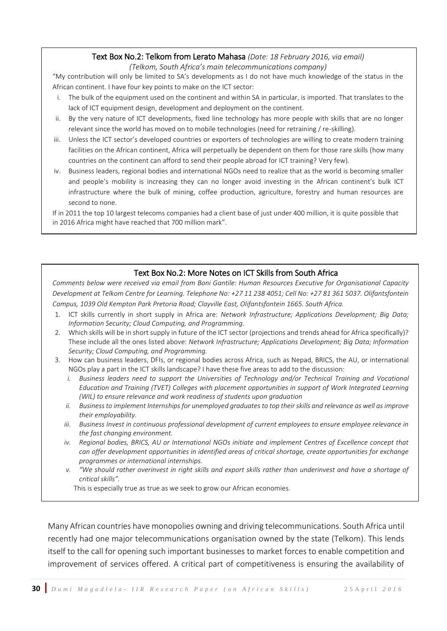#### Text Box No.2: Telkom from Lerato Mahasa *(Date: 18 February 2016, via email)*

*(Telkom, South Africa's main telecommunications company)* 

"My contribution will only be limited to SA's developments as I do not have much knowledge of the status in the African continent. I have four key points to make on the ICT sector:

- i. The bulk of the equipment used on the continent and within SA in particular, is imported. That translates to the lack of ICT equipment design, development and deployment on the continent.
- ii. By the very nature of ICT developments, fixed line technology has more people with skills that are no longer relevant since the world has moved on to mobile technologies (need for retraining / re-skilling).
- iii. Unless the ICT sector's developed countries or exporters of technologies are willing to create modern training facilities on the African continent, Africa will perpetually be dependent on them for those rare skills (how many countries on the continent can afford to send their people abroad for ICT training? Very few).
- iv. Business leaders, regional bodies and international NGOs need to realize that as the world is becoming smaller and people's mobility is increasing they can no longer avoid investing in the African continent's bulk ICT infrastructure where the bulk of mining, coffee production, agriculture, forestry and human resources are second to none.

If in 2011 the top 10 largest telecoms companies had a client base of just under 400 million, it is quite possible that in 2016 Africa might have reached that 700 million mark".

#### Text Box No.2: More Notes on ICT Skills from South Africa

*Comments below were received via email from Boni Gantile: Human Resources Executive for Organisational Capacity Development at Telkom Centre for Learning. Telephone No: +27 11 238 4051; Cell No: +27 81 361 5037. Olifantsfontein Campus, 1039 Old Kempton Park Pretoria Road; Clayville East, Olifantsfontein 1665. South Africa.* 

- 1. ICT skills currently in short supply in Africa are: *Network Infrastructure; Applications Development; Big Data; Information Security; Cloud Computing, and Programming.*
- 2. Which skills will be in short supply in future of the ICT sector (projections and trends ahead for Africa specifically)? These include all the ones listed above: *Network Infrastructure; Applications Development; Big Data; Information Security; Cloud Computing, and Programming.*
- 3. How can business leaders, DFIs, or regional bodies across Africa, such as Nepad, BRICS, the AU, or international NGOs play a part in the ICT skills landscape? I have these five areas to add to the discussion:
	- *i. Business leaders need to support the Universities of Technology and/or Technical Training and Vocational Education and Training (TVET) Colleges with placement opportunities in support of Work Integrated Learning (WIL) to ensure relevance and work readiness of students upon graduation*
	- *ii. Business to implement Internships for unemployed graduates to top their skills and relevance as well as improve their employability.*
	- *iii. Business Invest in continuous professional development of current employees to ensure employee relevance in the fast changing environment.*
	- *iv. Regional bodies, BRICS, AU or International NGOs initiate and implement Centres of Excellence concept that can offer development opportunities in identified areas of critical shortage, create opportunities for exchange programmes or international internships.*
	- *v. "We should rather overinvest in right skills and export skills rather than underinvest and have a shortage of critical skills".*

This is especially true as true as we seek to grow our African economies.

Many African countries have monopolies owning and driving telecommunications. South Africa until recently had one major telecommunications organisation owned by the state (Telkom). This lends itself to the call for opening such important businesses to market forces to enable competition and improvement of services offered. A critical part of competitiveness is ensuring the availability of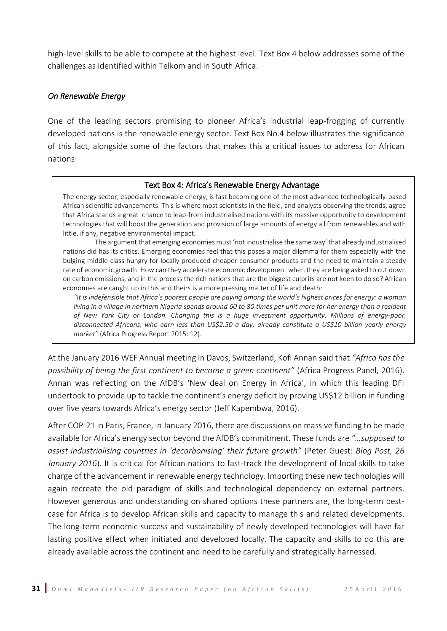high-level skills to be able to compete at the highest level. Text Box 4 below addresses some of the challenges as identified within Telkom and in South Africa.

#### *On Renewable Energy*

One of the leading sectors promising to pioneer Africa's industrial leap-frogging of currently developed nations is the renewable energy sector. Text Box No.4 below illustrates the significance of this fact, alongside some of the factors that makes this a critical issues to address for African nations:

#### Text Box 4: Africa's Renewable Energy Advantage

The energy sector, especially renewable energy, is fast becoming one of the most advanced technologically-based African scientific advancements. This is where most scientists in the field, and analysts observing the trends, agree that Africa stands a great chance to leap-from industrialised nations with its massive opportunity to development technologies that will boost the generation and provision of large amounts of energy all from renewables and with little, if any, negative environmental impact.

The argument that emerging economies must 'not industrialise the same way' that already industrialised nations did has its critics. Emerging economies feel that this poses a major dilemma for them especially with the bulging middle-class hungry for locally produced cheaper consumer products and the need to maintain a steady rate of economic growth. How can they accelerate economic development when they are being asked to cut down on carbon emissions, and in the process the rich nations that are the biggest culprits are not keen to do so? African economies are caught up in this and theirs is a more pressing matter of life and death:

*"It is indefensible that Africa's poorest people are paying among the world's highest prices for energy: a woman living in a village in northern Nigeria spends around 60 to 80 times per unit more for her energy than a resident of New York City or London. Changing this is a huge investment opportunity. Millions of energy-poor, disconnected Africans, who earn less than US\$2.50 a day, already constitute a US\$10-billion yearly energy market"* (Africa Progress Report 2015: 12).

At the January 2016 WEF Annual meeting in Davos, Switzerland, Kofi Annan said that *"Africa has the possibility of being the first continent to become a green continent"* (Africa Progress Panel, 2016). Annan was reflecting on the AfDB's 'New deal on Energy in Africa', in which this leading DFI undertook to provide up to tackle the continent's energy deficit by proving US\$12 billion in funding over five years towards Africa's energy sector (Jeff Kapembwa, 2016).

After COP-21 in Paris, France, in January 2016, there are discussions on massive funding to be made available for Africa's energy sector beyond the AfDB's commitment. These funds are *"…supposed to assist industrialising countries in 'decarbonising' their future growth"* (Peter Guest: *Blog Post, 26 January 2016*). It is critical for African nations to fast-track the development of local skills to take charge of the advancement in renewable energy technology. Importing these new technologies will again recreate the old paradigm of skills and technological dependency on external partners. However generous and understanding on shared options these partners are, the long-term bestcase for Africa is to develop African skills and capacity to manage this and related developments. The long-term economic success and sustainability of newly developed technologies will have far lasting positive effect when initiated and developed locally. The capacity and skills to do this are already available across the continent and need to be carefully and strategically harnessed.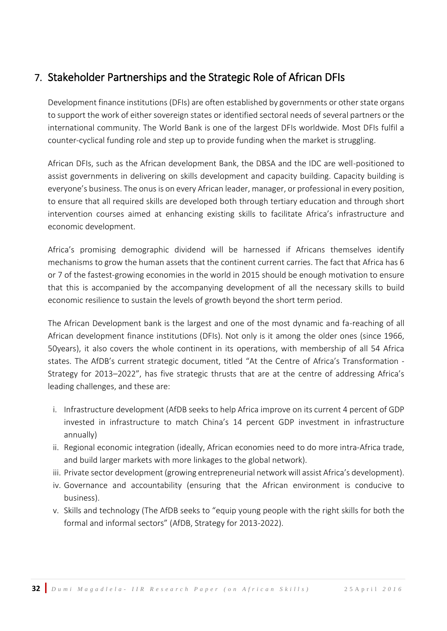# <span id="page-33-0"></span>7. Stakeholder Partnerships and the Strategic Role of African DFIs

Development finance institutions (DFIs) are often established by governments or other state organs to support the work of either sovereign states or identified sectoral needs of several partners or the international community. The World Bank is one of the largest DFIs worldwide. Most DFIs fulfil a counter-cyclical funding role and step up to provide funding when the market is struggling.

African DFIs, such as the African development Bank, the DBSA and the IDC are well-positioned to assist governments in delivering on skills development and capacity building. Capacity building is everyone's business. The onus is on every African leader, manager, or professional in every position, to ensure that all required skills are developed both through tertiary education and through short intervention courses aimed at enhancing existing skills to facilitate Africa's infrastructure and economic development.

Africa's promising demographic dividend will be harnessed if Africans themselves identify mechanisms to grow the human assets that the continent current carries. The fact that Africa has 6 or 7 of the fastest-growing economies in the world in 2015 should be enough motivation to ensure that this is accompanied by the accompanying development of all the necessary skills to build economic resilience to sustain the levels of growth beyond the short term period.

The African Development bank is the largest and one of the most dynamic and fa-reaching of all African development finance institutions (DFIs). Not only is it among the older ones (since 1966, 50years), it also covers the whole continent in its operations, with membership of all 54 Africa states. The AfDB's current strategic document, titled "At the Centre of Africa's Transformation - Strategy for 2013–2022", has five strategic thrusts that are at the centre of addressing Africa's leading challenges, and these are:

- i. Infrastructure development (AfDB seeks to help Africa improve on its current 4 percent of GDP invested in infrastructure to match China's 14 percent GDP investment in infrastructure annually)
- ii. Regional economic integration (ideally, African economies need to do more intra-Africa trade, and build larger markets with more linkages to the global network).
- iii. Private sector development (growing entrepreneurial network will assist Africa's development).
- iv. Governance and accountability (ensuring that the African environment is conducive to business).
- v. Skills and technology (The AfDB seeks to "equip young people with the right skills for both the formal and informal sectors" (AfDB, Strategy for 2013-2022).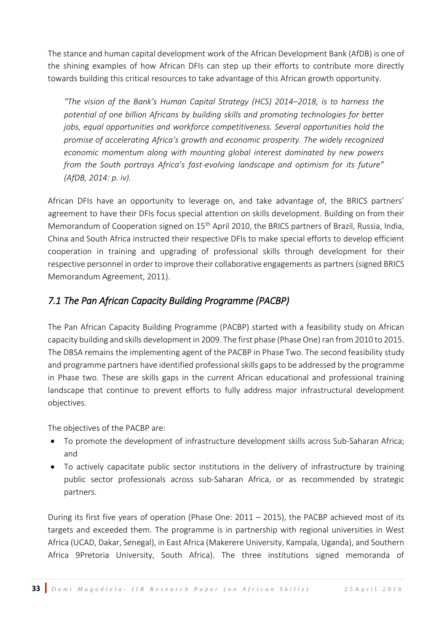The stance and human capital development work of the African Development Bank (AfDB) is one of the shining examples of how African DFIs can step up their efforts to contribute more directly towards building this critical resources to take advantage of this African growth opportunity.

*"The vision of the Bank's Human Capital Strategy (HCS) 2014–2018, is to harness the potential of one billion Africans by building skills and promoting technologies for better jobs, equal opportunities and workforce competitiveness. Several opportunities hold the promise of accelerating Africa's growth and economic prosperity. The widely recognized economic momentum along with mounting global interest dominated by new powers from the South portrays Africa's fast-evolving landscape and optimism for its future" (AfDB, 2014: p. iv).* 

African DFIs have an opportunity to leverage on, and take advantage of, the BRICS partners' agreement to have their DFIs focus special attention on skills development. Building on from their Memorandum of Cooperation signed on 15<sup>th</sup> April 2010, the BRICS partners of Brazil, Russia, India, China and South Africa instructed their respective DFIs to make special efforts to develop efficient cooperation in training and upgrading of professional skills through development for their respective personnel in order to improve their collaborative engagements as partners (signed BRICS Memorandum Agreement, 2011).

### *7.1 The Pan African Capacity Building Programme (PACBP)*

The Pan African Capacity Building Programme (PACBP) started with a feasibility study on African capacity building and skills development in 2009. The first phase (Phase One) ran from 2010 to 2015. The DBSA remains the implementing agent of the PACBP in Phase Two. The second feasibility study and programme partners have identified professional skills gaps to be addressed by the programme in Phase two. These are skills gaps in the current African educational and professional training landscape that continue to prevent efforts to fully address major infrastructural development objectives.

The objectives of the PACBP are:

- To promote the development of infrastructure development skills across Sub-Saharan Africa; and
- To actively capacitate public sector institutions in the delivery of infrastructure by training public sector professionals across sub-Saharan Africa, or as recommended by strategic partners.

During its first five years of operation (Phase One: 2011 – 2015), the PACBP achieved most of its targets and exceeded them. The programme is in partnership with regional universities in West Africa (UCAD, Dakar, Senegal), in East Africa (Makerere University, Kampala, Uganda), and Southern Africa 9Pretoria University, South Africa). The three institutions signed memoranda of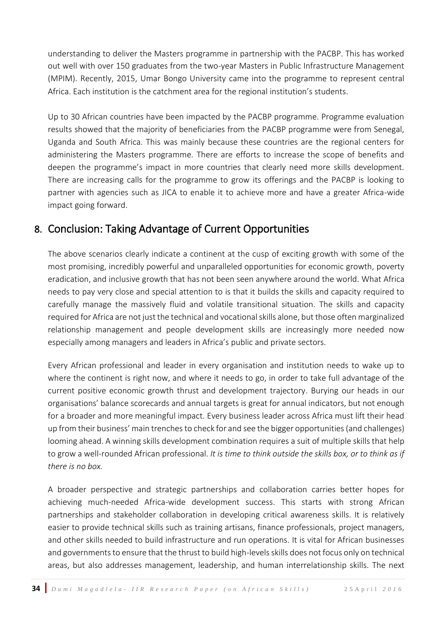understanding to deliver the Masters programme in partnership with the PACBP. This has worked out well with over 150 graduates from the two-year Masters in Public Infrastructure Management (MPIM). Recently, 2015, Umar Bongo University came into the programme to represent central Africa. Each institution is the catchment area for the regional institution's students.

Up to 30 African countries have been impacted by the PACBP programme. Programme evaluation results showed that the majority of beneficiaries from the PACBP programme were from Senegal, Uganda and South Africa. This was mainly because these countries are the regional centers for administering the Masters programme. There are efforts to increase the scope of benefits and deepen the programme's impact in more countries that clearly need more skills development. There are increasing calls for the programme to grow its offerings and the PACBP is looking to partner with agencies such as JICA to enable it to achieve more and have a greater Africa-wide impact going forward.

### <span id="page-35-0"></span>8. Conclusion: Taking Advantage of Current Opportunities

The above scenarios clearly indicate a continent at the cusp of exciting growth with some of the most promising, incredibly powerful and unparalleled opportunities for economic growth, poverty eradication, and inclusive growth that has not been seen anywhere around the world. What Africa needs to pay very close and special attention to is that it builds the skills and capacity required to carefully manage the massively fluid and volatile transitional situation. The skills and capacity required for Africa are not just the technical and vocational skills alone, but those often marginalized relationship management and people development skills are increasingly more needed now especially among managers and leaders in Africa's public and private sectors.

Every African professional and leader in every organisation and institution needs to wake up to where the continent is right now, and where it needs to go, in order to take full advantage of the current positive economic growth thrust and development trajectory. Burying our heads in our organisations' balance scorecards and annual targets is great for annual indicators, but not enough for a broader and more meaningful impact. Every business leader across Africa must lift their head up from their business' main trenches to check for and see the bigger opportunities (and challenges) looming ahead. A winning skills development combination requires a suit of multiple skills that help to grow a well-rounded African professional. *It is time to think outside the skills box, or to think as if there is no box.* 

A broader perspective and strategic partnerships and collaboration carries better hopes for achieving much-needed Africa-wide development success. This starts with strong African partnerships and stakeholder collaboration in developing critical awareness skills. It is relatively easier to provide technical skills such as training artisans, finance professionals, project managers, and other skills needed to build infrastructure and run operations. It is vital for African businesses and governments to ensure that the thrust to build high-levels skills does not focus only on technical areas, but also addresses management, leadership, and human interrelationship skills. The next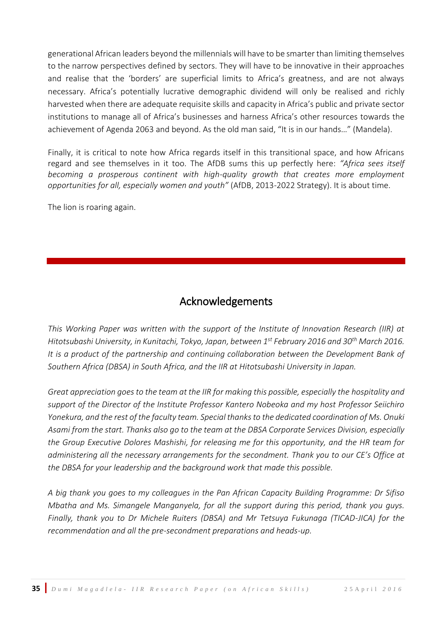generational African leaders beyond the millennials will have to be smarter than limiting themselves to the narrow perspectives defined by sectors. They will have to be innovative in their approaches and realise that the 'borders' are superficial limits to Africa's greatness, and are not always necessary. Africa's potentially lucrative demographic dividend will only be realised and richly harvested when there are adequate requisite skills and capacity in Africa's public and private sector institutions to manage all of Africa's businesses and harness Africa's other resources towards the achievement of Agenda 2063 and beyond. As the old man said, "It is in our hands…" (Mandela).

Finally, it is critical to note how Africa regards itself in this transitional space, and how Africans regard and see themselves in it too. The AfDB sums this up perfectly here: *"Africa sees itself becoming a prosperous continent with high-quality growth that creates more employment opportunities for all, especially women and youth"* (AfDB, 2013-2022 Strategy). It is about time.

The lion is roaring again.

# Acknowledgements

<span id="page-36-0"></span>*This Working Paper was written with the support of the Institute of Innovation Research (IIR) at Hitotsubashi University, in Kunitachi, Tokyo, Japan, between 1st February 2016 and 30th March 2016. It is a product of the partnership and continuing collaboration between the Development Bank of Southern Africa (DBSA) in South Africa, and the IIR at Hitotsubashi University in Japan.* 

*Great appreciation goes to the team at the IIR for making this possible, especially the hospitality and support of the Director of the Institute Professor Kantero Nobeoka and my host Professor Seiichiro Yonekura, and the rest of the faculty team. Special thanks to the dedicated coordination of Ms. Onuki Asami from the start. Thanks also go to the team at the DBSA Corporate Services Division, especially the Group Executive Dolores Mashishi, for releasing me for this opportunity, and the HR team for administering all the necessary arrangements for the secondment. Thank you to our CE's Office at the DBSA for your leadership and the background work that made this possible.* 

*A big thank you goes to my colleagues in the Pan African Capacity Building Programme: Dr Sifiso Mbatha and Ms. Simangele Manganyela, for all the support during this period, thank you guys. Finally, thank you to Dr Michele Ruiters (DBSA) and Mr Tetsuya Fukunaga (TICAD-JICA) for the recommendation and all the pre-secondment preparations and heads-up.*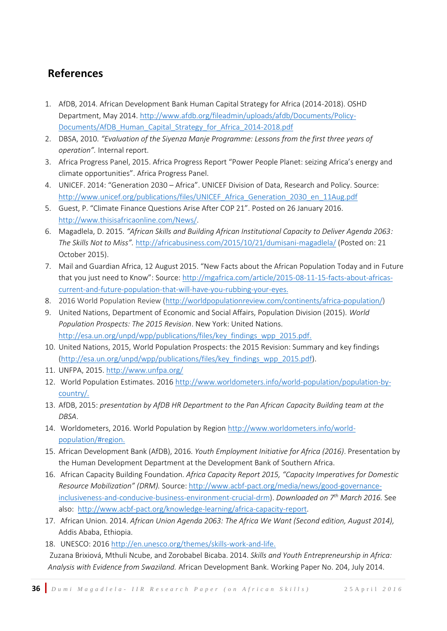# <span id="page-37-0"></span>**References**

- 1. AfDB, 2014. African Development Bank Human Capital Strategy for Africa (2014-2018). OSHD Department, May 2014. [http://www.afdb.org/fileadmin/uploads/afdb/Documents/Policy-](http://www.afdb.org/fileadmin/uploads/afdb/Documents/Policy-Documents/AfDB_Human_Capital_Strategy_for_Africa_2014-2018.pdf)[Documents/AfDB\\_Human\\_Capital\\_Strategy\\_for\\_Africa\\_2014-2018.pdf](http://www.afdb.org/fileadmin/uploads/afdb/Documents/Policy-Documents/AfDB_Human_Capital_Strategy_for_Africa_2014-2018.pdf)
- 2. DBSA, 2010. *"Evaluation of the Siyenza Manje Programme: Lessons from the first three years of operation".* Internal report.
- 3. Africa Progress Panel, 2015. Africa Progress Report "Power People Planet: seizing Africa's energy and climate opportunities". Africa Progress Panel.
- 4. UNICEF. 2014: "Generation 2030 Africa". UNICEF Division of Data, Research and Policy. Source: [http://www.unicef.org/publications/files/UNICEF\\_Africa\\_Generation\\_2030\\_en\\_11Aug.pdf](http://www.unicef.org/publications/files/UNICEF_Africa_Generation_2030_en_11Aug.pdf)
- 5. [Guest,](http://www.thisisafricaonline.com/ftauthor/view/Peter+Guest) P. "Climate Finance Questions Arise After COP 21". Posted on 26 January 2016. [http://www.thisisafricaonline.com/News/.](http://www.thisisafricaonline.com/News/)
- 6. Magadlela, D. 2015. *"[African Skills and Building African Institutional Capacity to Deliver Agenda 2063:](http://africabusiness.com/2015/10/21/dumisani-magadlela/) The Skills Not to Miss".* <http://africabusiness.com/2015/10/21/dumisani-magadlela/> (Posted on: 21 October 2015).
- 7. [Mail and Guardian Africa,](http://mgafrica.com/author/mg-africa-writer) 12 August 2015. "New Facts about the African Population Today and in Future that you just need to Know": Source: [http://mgafrica.com/article/2015-08-11-15-facts-about-africas](http://mgafrica.com/article/2015-08-11-15-facts-about-africas-current-and-future-population-that-will-have-you-rubbing-your-eyes)[current-and-future-population-that-will-have-you-rubbing-your-eyes.](http://mgafrica.com/article/2015-08-11-15-facts-about-africas-current-and-future-population-that-will-have-you-rubbing-your-eyes)
- 8. 2016 World Population Review [\(http://worldpopulationreview.com/continents/africa-population/\)](http://worldpopulationreview.com/continents/africa-population/)
- 9. United Nations, Department of Economic and Social Affairs, Population Division (2015). *World Population Prospects: The 2015 Revision*. New York: United Nations. [http://esa.un.org/unpd/wpp/publications/files/key\\_findings\\_wpp\\_2015.pdf.](http://esa.un.org/unpd/wpp/publications/files/key_findings_wpp_2015.pdf)
- 10. United Nations, 2015, World Population Prospects: the 2015 Revision: Summary and key findings [\(http://esa.un.org/unpd/wpp/publications/files/key\\_findings\\_wpp\\_2015.pdf\)](http://esa.un.org/unpd/wpp/publications/files/key_findings_wpp_2015.pdf).
- 11. UNFPA, 2015. <http://www.unfpa.org/>
- 12. World Population Estimates. 2016 [http://www.worldometers.info/world-population/population-by](http://www.worldometers.info/world-population/population-by-country/)[country/.](http://www.worldometers.info/world-population/population-by-country/)
- 13. AfDB, 2015: *presentation by AfDB HR Department to the Pan African Capacity Building team at the DBSA*.
- 14. Worldometers, 2016. World Population by Region [http://www.worldometers.info/world](http://www.worldometers.info/world-population/#region)[population/#region.](http://www.worldometers.info/world-population/#region)
- 15. African Development Bank (AfDB), 2016. *Youth Employment Initiative for Africa (2016)*. Presentation by the Human Development Department at the Development Bank of Southern Africa.
- 16. African Capacity Building Foundation. *Africa Capacity Report 2015, "Capacity Imperatives for Domestic Resource Mobilization" (DRM).* Source[: http://www.acbf-pact.org/media/news/good-governance](http://www.acbf-pact.org/media/news/good-governance-inclusiveness-and-conducive-business-environment-crucial-drm)[inclusiveness-and-conducive-business-environment-crucial-drm\)](http://www.acbf-pact.org/media/news/good-governance-inclusiveness-and-conducive-business-environment-crucial-drm). *Downloaded on 7th March 2016.* See also: [http://www.acbf-pact.org/knowledge-learning/africa-capacity-report.](http://www.acbf-pact.org/knowledge-learning/africa-capacity-report)
- 17. African Union. 2014. *African Union Agenda 2063: The Africa We Want (Second edition, August 2014),* Addis Ababa, Ethiopia.
- 18. UNESCO: 2016 [http://en.unesco.org/themes/skills-work-and-life.](http://en.unesco.org/themes/skills-work-and-life)

Zuzana Brixiová, Mthuli Ncube, and Zorobabel Bicaba. 2014. *Skills and Youth Entrepreneurship in Africa: Analysis with Evidence from Swaziland.* African Development Bank. Working Paper No. 204, July 2014.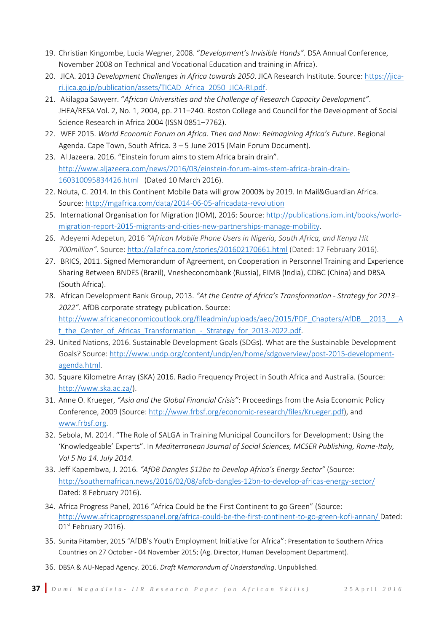- 19. Christian Kingombe, Lucia Wegner, 2008. "*Development's Invisible Hands".* DSA Annual Conference, November 2008 on Technical and Vocational Education and training in Africa).
- 20. JICA. 2013 *Development Challenges in Africa towards 2050*. JICA Research Institute. Source[: https://jica](https://jica-ri.jica.go.jp/publication/assets/TICAD_Africa_2050_JICA-RI.pdf)[ri.jica.go.jp/publication/assets/TICAD\\_Africa\\_2050\\_JICA-RI.pdf.](https://jica-ri.jica.go.jp/publication/assets/TICAD_Africa_2050_JICA-RI.pdf)
- 21. Akilagpa Sawyerr. "*African Universities and the Challenge of Research Capacity Development"*. JHEA/RESA Vol. 2, No. 1, 2004, pp. 211–240. Boston College and Council for the Development of Social Science Research in Africa 2004 (ISSN 0851–7762).
- 22. WEF 2015. *World Economic Forum on Africa. Then and Now: Reimagining Africa's Future*. Regional Agenda. Cape Town, South Africa. 3 – 5 June 2015 (Main Forum Document).
- 23. Al Jazeera. 2016. "Einstein forum aims to stem Africa brain drain". [http://www.aljazeera.com/news/2016/03/einstein-forum-aims-stem-africa-brain-drain-](http://www.aljazeera.com/news/2016/03/einstein-forum-aims-stem-africa-brain-drain-160310095834426.html)[160310095834426.html](http://www.aljazeera.com/news/2016/03/einstein-forum-aims-stem-africa-brain-drain-160310095834426.html) (Dated 10 March 2016).
- 22. Nduta, C. 2014. In this Continent Mobile Data will grow 2000% by 2019. In Mail&Guardian Africa. Source[: http://mgafrica.com/data/2014-06-05-africadata-revolution](http://mgafrica.com/data/2014-06-05-africadata-revolution)
- 25. International Organisation for Migration (IOM), 2016: Source: [http://publications.iom.int/books/world](http://publications.iom.int/books/world-migration-report-2015-migrants-and-cities-new-partnerships-manage-mobility)[migration-report-2015-migrants-and-cities-new-partnerships-manage-mobility.](http://publications.iom.int/books/world-migration-report-2015-migrants-and-cities-new-partnerships-manage-mobility)
- 26. Adeyemi Adepetun, 2016 *"African Mobile Phone Users in Nigeria, South Africa, and Kenya Hit 700million"*. Source: <http://allafrica.com/stories/201602170661.html> (Dated: 17 February 2016).
- 27. BRICS, 2011. Signed Memorandum of Agreement, on Cooperation in Personnel Training and Experience Sharing Between BNDES (Brazil), Vnesheconombank (Russia), EIMB (India), CDBC (China) and DBSA (South Africa).
- 28. African Development Bank Group, 2013. *"At the Centre of Africa's Transformation - Strategy for 2013– 2022"*. AfDB corporate strategy publication. Source: [http://www.africaneconomicoutlook.org/fileadmin/uploads/aeo/2015/PDF\\_Chapters/AfDB\\_\\_2013\\_\\_\\_A](http://www.africaneconomicoutlook.org/fileadmin/uploads/aeo/2015/PDF_Chapters/AfDB__2013___At_the_Center_of_Africas_Transformation_-_Strategy_for_2013-2022.pdf) t\_the\_Center\_of\_Africas\_Transformation -\_Strategy\_for\_2013-2022.pdf.
- 29. United Nations, 2016. Sustainable Development Goals (SDGs). What are the Sustainable Development Goals? Source: [http://www.undp.org/content/undp/en/home/sdgoverview/post-2015-development](http://www.undp.org/content/undp/en/home/sdgoverview/post-2015-development-agenda.html)[agenda.html.](http://www.undp.org/content/undp/en/home/sdgoverview/post-2015-development-agenda.html)
- 30. Square Kilometre Array (SKA) 2016. Radio Frequency Project in South Africa and Australia. (Source: [http://www.ska.ac.za/\)](http://www.ska.ac.za/).
- 31. Anne O. Krueger, *"Asia and the Global Financial Crisis"*: Proceedings from the Asia Economic Policy Conference, 2009 (Source: [http://www.frbsf.org/economic-research/files/Krueger.pdf\)](http://www.frbsf.org/economic-research/files/Krueger.pdf), and [www.frbsf.org.](http://www.frbsf.org/)
- 32. Sebola, M. 2014. "The Role of SALGA in Training Municipal Councillors for Development: Using the 'Knowledgeable' Experts". In *Mediterranean Journal of Social Sciences, MCSER Publishing, Rome-Italy, Vol 5 No 14. July 2014.*
- 33. Jeff Kapembwa, J. 2016. *"AfDB Dangles \$12bn to Develop Africa's Energy Sector"* (Source: <http://southernafrican.news/2016/02/08/afdb-dangles-12bn-to-develop-africas-energy-sector/> Dated: 8 February 2016).
- 34. [Africa Progress Panel](http://www.africaprogresspanel.org/en/author/africa-progress-panel/), 2016 "Africa Could be the First Continent to go Green" (Source: <http://www.africaprogresspanel.org/africa-could-be-the-first-continent-to-go-green-kofi-annan/> Dated: 01<sup>st</sup> February 2016).
- 35. Sunita Pitamber, 2015 "AfDB's Youth Employment Initiative for Africa": Presentation to Southern Africa Countries on 27 October - 04 November 2015; (Ag. Director, Human Development Department).
- 36. DBSA & AU-Nepad Agency. 2016. *Draft Memorandum of Understanding*. Unpublished.